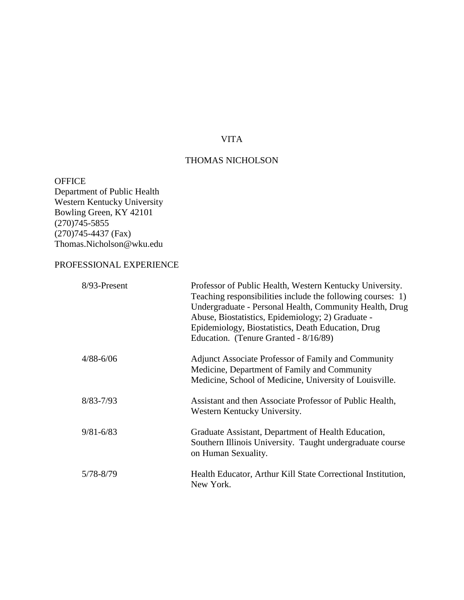# VITA

# THOMAS NICHOLSON

**OFFICE** Department of Public Health Western Kentucky University Bowling Green, KY 42101  $(270)745 - 5855$ (270)745-4437 (Fax) Thomas.Nicholson@wku.edu

# PROFESSIONAL EXPERIENCE

| 8/93-Present  | Professor of Public Health, Western Kentucky University.<br>Teaching responsibilities include the following courses: 1)<br>Undergraduate - Personal Health, Community Health, Drug<br>Abuse, Biostatistics, Epidemiology; 2) Graduate -<br>Epidemiology, Biostatistics, Death Education, Drug<br>Education. (Tenure Granted - 8/16/89) |
|---------------|----------------------------------------------------------------------------------------------------------------------------------------------------------------------------------------------------------------------------------------------------------------------------------------------------------------------------------------|
| $4/88 - 6/06$ | Adjunct Associate Professor of Family and Community<br>Medicine, Department of Family and Community<br>Medicine, School of Medicine, University of Louisville.                                                                                                                                                                         |
| $8/83 - 7/93$ | Assistant and then Associate Professor of Public Health,<br>Western Kentucky University.                                                                                                                                                                                                                                               |
| $9/81 - 6/83$ | Graduate Assistant, Department of Health Education,<br>Southern Illinois University. Taught undergraduate course<br>on Human Sexuality.                                                                                                                                                                                                |
| 5/78-8/79     | Health Educator, Arthur Kill State Correctional Institution,<br>New York.                                                                                                                                                                                                                                                              |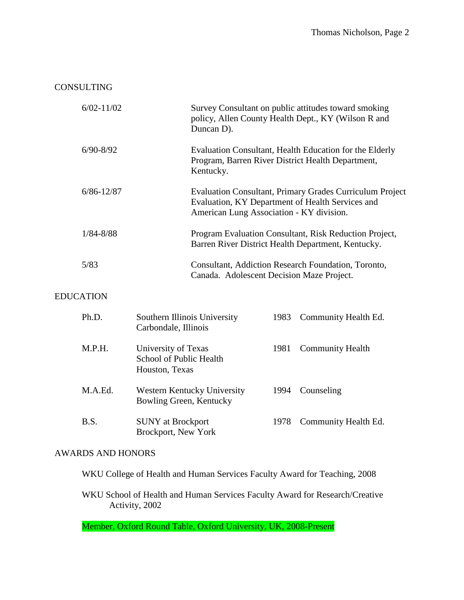# CONSULTING

| $6/02 - 11/02$ | Survey Consultant on public attitudes toward smoking<br>policy, Allen County Health Dept., KY (Wilson R and<br>Duncan D).                                       |
|----------------|-----------------------------------------------------------------------------------------------------------------------------------------------------------------|
| $6/90 - 8/92$  | Evaluation Consultant, Health Education for the Elderly<br>Program, Barren River District Health Department,<br>Kentucky.                                       |
| $6/86 - 12/87$ | <b>Evaluation Consultant, Primary Grades Curriculum Project</b><br>Evaluation, KY Department of Health Services and<br>American Lung Association - KY division. |
| $1/84 - 8/88$  | Program Evaluation Consultant, Risk Reduction Project,<br>Barren River District Health Department, Kentucky.                                                    |
| 5/83           | Consultant, Addiction Research Foundation, Toronto,<br>Canada. Adolescent Decision Maze Project.                                                                |

# EDUCATION

| Ph.D.   | Southern Illinois University<br>Carbondale, Illinois             | 1983 | Community Health Ed.    |
|---------|------------------------------------------------------------------|------|-------------------------|
| M.P.H.  | University of Texas<br>School of Public Health<br>Houston, Texas | 1981 | <b>Community Health</b> |
| M.A.Ed. | Western Kentucky University<br>Bowling Green, Kentucky           | 1994 | Counseling              |
| B.S.    | <b>SUNY</b> at Brockport<br>Brockport, New York                  | 1978 | Community Health Ed.    |

# AWARDS AND HONORS

WKU College of Health and Human Services Faculty Award for Teaching, 2008

WKU School of Health and Human Services Faculty Award for Research/Creative Activity, 2002

Member, Oxford Round Table, Oxford University, UK, 2008-Present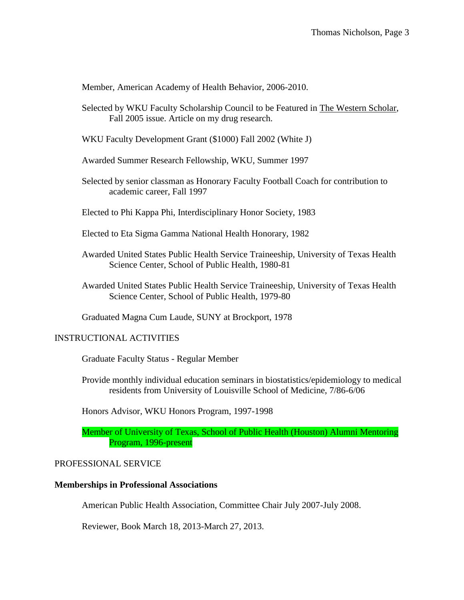Member, American Academy of Health Behavior, 2006-2010.

- Selected by WKU Faculty Scholarship Council to be Featured in The Western Scholar, Fall 2005 issue. Article on my drug research.
- WKU Faculty Development Grant (\$1000) Fall 2002 (White J)

Awarded Summer Research Fellowship, WKU, Summer 1997

Selected by senior classman as Honorary Faculty Football Coach for contribution to academic career, Fall 1997

Elected to Phi Kappa Phi, Interdisciplinary Honor Society, 1983

Elected to Eta Sigma Gamma National Health Honorary, 1982

- Awarded United States Public Health Service Traineeship, University of Texas Health Science Center, School of Public Health, 1980-81
- Awarded United States Public Health Service Traineeship, University of Texas Health Science Center, School of Public Health, 1979-80

Graduated Magna Cum Laude, SUNY at Brockport, 1978

# INSTRUCTIONAL ACTIVITIES

Graduate Faculty Status - Regular Member

Provide monthly individual education seminars in biostatistics/epidemiology to medical residents from University of Louisville School of Medicine, 7/86-6/06

Honors Advisor, WKU Honors Program, 1997-1998

Member of University of Texas, School of Public Health (Houston) Alumni Mentoring Program, 1996-present

# PROFESSIONAL SERVICE

### **Memberships in Professional Associations**

American Public Health Association, Committee Chair July 2007-July 2008.

Reviewer, Book March 18, 2013-March 27, 2013.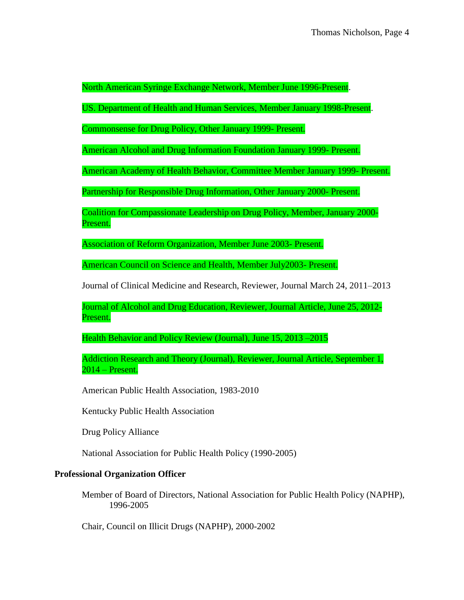North American Syringe Exchange Network, Member June 1996-Present.

US. Department of Health and Human Services, Member January 1998-Present.

Commonsense for Drug Policy, Other January 1999- Present.

American Alcohol and Drug Information Foundation January 1999- Present.

American Academy of Health Behavior, Committee Member January 1999- Present.

Partnership for Responsible Drug Information, Other January 2000- Present.

Coalition for Compassionate Leadership on Drug Policy, Member, January 2000- Present.

Association of Reform Organization, Member June 2003- Present.

American Council on Science and Health, Member July2003- Present.

Journal of Clinical Medicine and Research, Reviewer, Journal March 24, 2011–2013

Journal of Alcohol and Drug Education, Reviewer, Journal Article, June 25, 2012- Present.

Health Behavior and Policy Review (Journal), June 15, 2013 –2015

Addiction Research and Theory (Journal), Reviewer, Journal Article, September 1, 2014 – Present.

American Public Health Association, 1983-2010

Kentucky Public Health Association

Drug Policy Alliance

National Association for Public Health Policy (1990-2005)

# **Professional Organization Officer**

Member of Board of Directors, National Association for Public Health Policy (NAPHP), 1996-2005

Chair, Council on Illicit Drugs (NAPHP), 2000-2002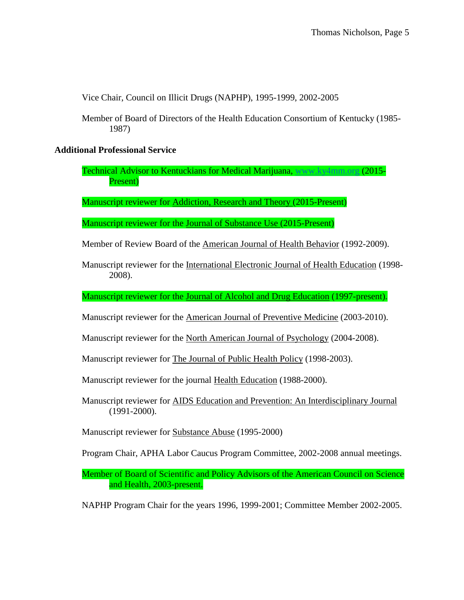Vice Chair, Council on Illicit Drugs (NAPHP), 1995-1999, 2002-2005

Member of Board of Directors of the Health Education Consortium of Kentucky (1985- 1987)

## **Additional Professional Service**

Technical Advisor to Kentuckians for Medical Marijuana, [www.ky4mm.org](http://www.ky4mm.org/) (2015- Present)

**Manuscript reviewer for Addiction, Research and Theory (2015-Present)** 

Manuscript reviewer for the Journal of Substance Use (2015-Present)

Member of Review Board of the American Journal of Health Behavior (1992-2009).

Manuscript reviewer for the International Electronic Journal of Health Education (1998- 2008).

Manuscript reviewer for the Journal of Alcohol and Drug Education (1997-present).

Manuscript reviewer for the American Journal of Preventive Medicine (2003-2010).

Manuscript reviewer for the North American Journal of Psychology (2004-2008).

Manuscript reviewer for The Journal of Public Health Policy (1998-2003).

Manuscript reviewer for the journal Health Education (1988-2000).

Manuscript reviewer for AIDS Education and Prevention: An Interdisciplinary Journal (1991-2000).

Manuscript reviewer for Substance Abuse (1995-2000)

Program Chair, APHA Labor Caucus Program Committee, 2002-2008 annual meetings.

Member of Board of Scientific and Policy Advisors of the American Council on Science and Health, 2003-present.

NAPHP Program Chair for the years 1996, 1999-2001; Committee Member 2002-2005.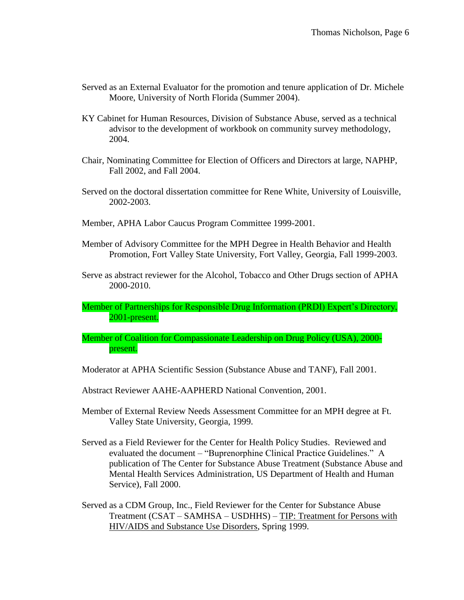- Served as an External Evaluator for the promotion and tenure application of Dr. Michele Moore, University of North Florida (Summer 2004).
- KY Cabinet for Human Resources, Division of Substance Abuse, served as a technical advisor to the development of workbook on community survey methodology, 2004.
- Chair, Nominating Committee for Election of Officers and Directors at large, NAPHP, Fall 2002, and Fall 2004.
- Served on the doctoral dissertation committee for Rene White, University of Louisville, 2002-2003.
- Member, APHA Labor Caucus Program Committee 1999-2001.
- Member of Advisory Committee for the MPH Degree in Health Behavior and Health Promotion, Fort Valley State University, Fort Valley, Georgia, Fall 1999-2003.
- Serve as abstract reviewer for the Alcohol, Tobacco and Other Drugs section of APHA 2000-2010.
- Member of Partnerships for Responsible Drug Information (PRDI) Expert's Directory, 2001-present.
- Member of Coalition for Compassionate Leadership on Drug Policy (USA), 2000 present.
- Moderator at APHA Scientific Session (Substance Abuse and TANF), Fall 2001.
- Abstract Reviewer AAHE-AAPHERD National Convention, 2001.
- Member of External Review Needs Assessment Committee for an MPH degree at Ft. Valley State University, Georgia, 1999.
- Served as a Field Reviewer for the Center for Health Policy Studies. Reviewed and evaluated the document – "Buprenorphine Clinical Practice Guidelines." A publication of The Center for Substance Abuse Treatment (Substance Abuse and Mental Health Services Administration, US Department of Health and Human Service), Fall 2000.
- Served as a CDM Group, Inc., Field Reviewer for the Center for Substance Abuse Treatment (CSAT – SAMHSA – USDHHS) – TIP: Treatment for Persons with HIV/AIDS and Substance Use Disorders, Spring 1999.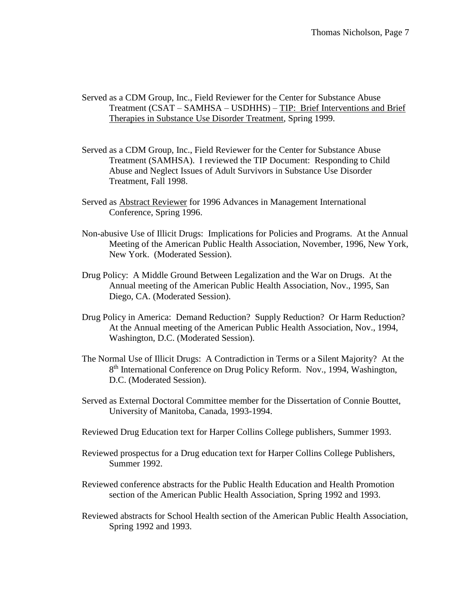- Served as a CDM Group, Inc., Field Reviewer for the Center for Substance Abuse Treatment (CSAT – SAMHSA – USDHHS) – TIP: Brief Interventions and Brief Therapies in Substance Use Disorder Treatment, Spring 1999.
- Served as a CDM Group, Inc., Field Reviewer for the Center for Substance Abuse Treatment (SAMHSA). I reviewed the TIP Document: Responding to Child Abuse and Neglect Issues of Adult Survivors in Substance Use Disorder Treatment, Fall 1998.
- Served as Abstract Reviewer for 1996 Advances in Management International Conference, Spring 1996.
- Non-abusive Use of Illicit Drugs: Implications for Policies and Programs. At the Annual Meeting of the American Public Health Association, November, 1996, New York, New York. (Moderated Session).
- Drug Policy: A Middle Ground Between Legalization and the War on Drugs. At the Annual meeting of the American Public Health Association, Nov., 1995, San Diego, CA. (Moderated Session).
- Drug Policy in America: Demand Reduction? Supply Reduction? Or Harm Reduction? At the Annual meeting of the American Public Health Association, Nov., 1994, Washington, D.C. (Moderated Session).
- The Normal Use of Illicit Drugs: A Contradiction in Terms or a Silent Majority? At the 8<sup>th</sup> International Conference on Drug Policy Reform. Nov., 1994, Washington, D.C. (Moderated Session).
- Served as External Doctoral Committee member for the Dissertation of Connie Bouttet, University of Manitoba, Canada, 1993-1994.
- Reviewed Drug Education text for Harper Collins College publishers, Summer 1993.
- Reviewed prospectus for a Drug education text for Harper Collins College Publishers, Summer 1992.
- Reviewed conference abstracts for the Public Health Education and Health Promotion section of the American Public Health Association, Spring 1992 and 1993.
- Reviewed abstracts for School Health section of the American Public Health Association, Spring 1992 and 1993.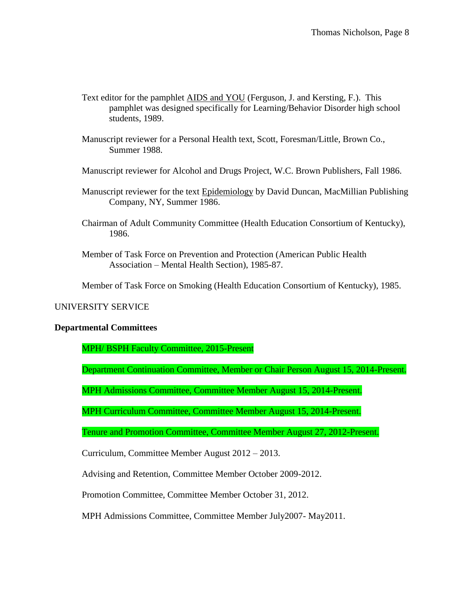- Text editor for the pamphlet AIDS and YOU (Ferguson, J. and Kersting, F.). This pamphlet was designed specifically for Learning/Behavior Disorder high school students, 1989.
- Manuscript reviewer for a Personal Health text, Scott, Foresman/Little, Brown Co., Summer 1988.
- Manuscript reviewer for Alcohol and Drugs Project, W.C. Brown Publishers, Fall 1986.
- Manuscript reviewer for the text Epidemiology by David Duncan, MacMillian Publishing Company, NY, Summer 1986.
- Chairman of Adult Community Committee (Health Education Consortium of Kentucky), 1986.
- Member of Task Force on Prevention and Protection (American Public Health Association – Mental Health Section), 1985-87.

Member of Task Force on Smoking (Health Education Consortium of Kentucky), 1985.

## UNIVERSITY SERVICE

### **Departmental Committees**

MPH/ BSPH Faculty Committee, 2015-Present

Department Continuation Committee, Member or Chair Person August 15, 2014-Present.

MPH Admissions Committee, Committee Member August 15, 2014-Present.

MPH Curriculum Committee, Committee Member August 15, 2014-Present.

Tenure and Promotion Committee, Committee Member August 27, 2012-Present.

Curriculum, Committee Member August 2012 – 2013.

Advising and Retention, Committee Member October 2009-2012.

Promotion Committee, Committee Member October 31, 2012.

MPH Admissions Committee, Committee Member July2007- May2011.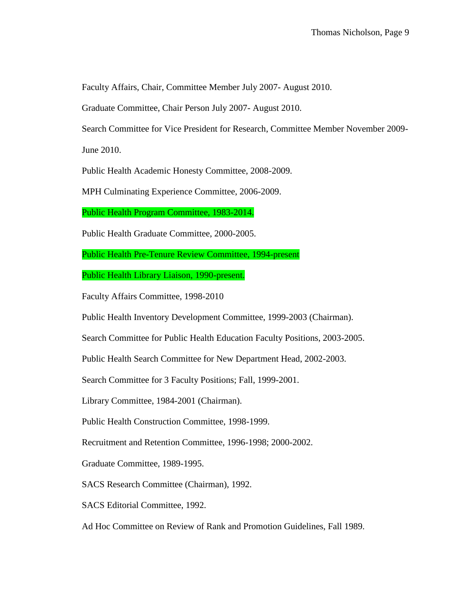Faculty Affairs, Chair, Committee Member July 2007- August 2010.

Graduate Committee, Chair Person July 2007- August 2010.

Search Committee for Vice President for Research, Committee Member November 2009-

June 2010.

Public Health Academic Honesty Committee, 2008-2009.

MPH Culminating Experience Committee, 2006-2009.

Public Health Program Committee, 1983-2014.

Public Health Graduate Committee, 2000-2005.

Public Health Pre-Tenure Review Committee, 1994-present

Public Health Library Liaison, 1990-present.

Faculty Affairs Committee, 1998-2010

Public Health Inventory Development Committee, 1999-2003 (Chairman).

Search Committee for Public Health Education Faculty Positions, 2003-2005.

Public Health Search Committee for New Department Head, 2002-2003.

Search Committee for 3 Faculty Positions; Fall, 1999-2001.

Library Committee, 1984-2001 (Chairman).

Public Health Construction Committee, 1998-1999.

Recruitment and Retention Committee, 1996-1998; 2000-2002.

Graduate Committee, 1989-1995.

SACS Research Committee (Chairman), 1992.

SACS Editorial Committee, 1992.

Ad Hoc Committee on Review of Rank and Promotion Guidelines, Fall 1989.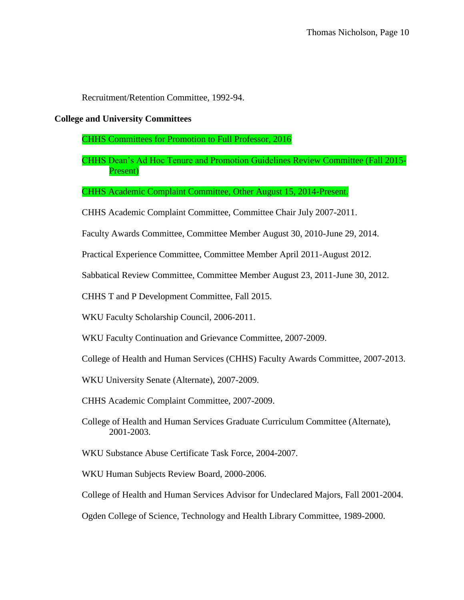Recruitment/Retention Committee, 1992-94.

#### **College and University Committees**

CHHS Committees for Promotion to Full Professor, 2016

CHHS Dean's Ad Hoc Tenure and Promotion Guidelines Review Committee (Fall 2015- Present)

CHHS Academic Complaint Committee, Other August 15, 2014-Present.

CHHS Academic Complaint Committee, Committee Chair July 2007-2011.

Faculty Awards Committee, Committee Member August 30, 2010-June 29, 2014.

Practical Experience Committee, Committee Member April 2011-August 2012.

Sabbatical Review Committee, Committee Member August 23, 2011-June 30, 2012.

CHHS T and P Development Committee, Fall 2015.

WKU Faculty Scholarship Council, 2006-2011.

WKU Faculty Continuation and Grievance Committee, 2007-2009.

College of Health and Human Services (CHHS) Faculty Awards Committee, 2007-2013.

WKU University Senate (Alternate), 2007-2009.

CHHS Academic Complaint Committee, 2007-2009.

College of Health and Human Services Graduate Curriculum Committee (Alternate), 2001-2003.

WKU Substance Abuse Certificate Task Force, 2004-2007.

WKU Human Subjects Review Board, 2000-2006.

College of Health and Human Services Advisor for Undeclared Majors, Fall 2001-2004.

Ogden College of Science, Technology and Health Library Committee, 1989-2000.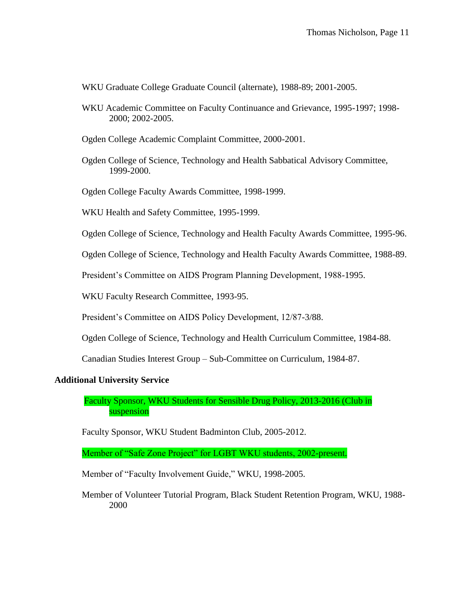WKU Graduate College Graduate Council (alternate), 1988-89; 2001-2005.

- WKU Academic Committee on Faculty Continuance and Grievance, 1995-1997; 1998- 2000; 2002-2005.
- Ogden College Academic Complaint Committee, 2000-2001.
- Ogden College of Science, Technology and Health Sabbatical Advisory Committee, 1999-2000.
- Ogden College Faculty Awards Committee, 1998-1999.
- WKU Health and Safety Committee, 1995-1999.

Ogden College of Science, Technology and Health Faculty Awards Committee, 1995-96.

Ogden College of Science, Technology and Health Faculty Awards Committee, 1988-89.

President's Committee on AIDS Program Planning Development, 1988-1995.

WKU Faculty Research Committee, 1993-95.

President's Committee on AIDS Policy Development, 12/87-3/88.

Ogden College of Science, Technology and Health Curriculum Committee, 1984-88.

Canadian Studies Interest Group – Sub-Committee on Curriculum, 1984-87.

### **Additional University Service**

Faculty Sponsor, WKU Students for Sensible Drug Policy, 2013-2016 (Club in suspension

Faculty Sponsor, WKU Student Badminton Club, 2005-2012.

Member of "Safe Zone Project" for LGBT WKU students, 2002-present.

Member of "Faculty Involvement Guide," WKU, 1998-2005.

Member of Volunteer Tutorial Program, Black Student Retention Program, WKU, 1988- 2000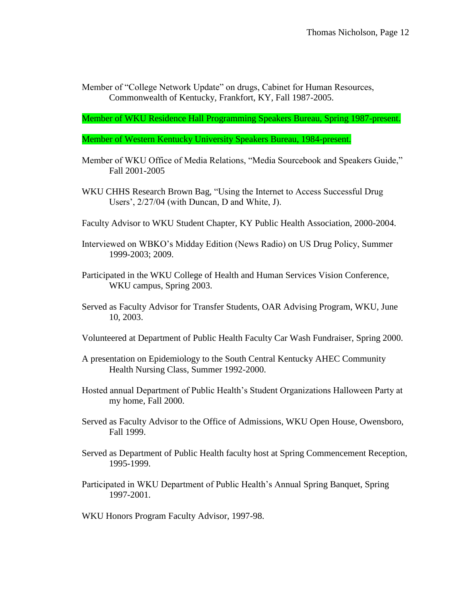Member of "College Network Update" on drugs, Cabinet for Human Resources, Commonwealth of Kentucky, Frankfort, KY, Fall 1987-2005.

Member of WKU Residence Hall Programming Speakers Bureau, Spring 1987-present.

Member of Western Kentucky University Speakers Bureau, 1984-present.

- Member of WKU Office of Media Relations, "Media Sourcebook and Speakers Guide," Fall 2001-2005
- WKU CHHS Research Brown Bag, "Using the Internet to Access Successful Drug Users', 2/27/04 (with Duncan, D and White, J).
- Faculty Advisor to WKU Student Chapter, KY Public Health Association, 2000-2004.
- Interviewed on WBKO's Midday Edition (News Radio) on US Drug Policy, Summer 1999-2003; 2009.
- Participated in the WKU College of Health and Human Services Vision Conference, WKU campus, Spring 2003.
- Served as Faculty Advisor for Transfer Students, OAR Advising Program, WKU, June 10, 2003.
- Volunteered at Department of Public Health Faculty Car Wash Fundraiser, Spring 2000.
- A presentation on Epidemiology to the South Central Kentucky AHEC Community Health Nursing Class, Summer 1992-2000.
- Hosted annual Department of Public Health's Student Organizations Halloween Party at my home, Fall 2000.
- Served as Faculty Advisor to the Office of Admissions, WKU Open House, Owensboro, Fall 1999.
- Served as Department of Public Health faculty host at Spring Commencement Reception, 1995-1999.
- Participated in WKU Department of Public Health's Annual Spring Banquet, Spring 1997-2001.
- WKU Honors Program Faculty Advisor, 1997-98.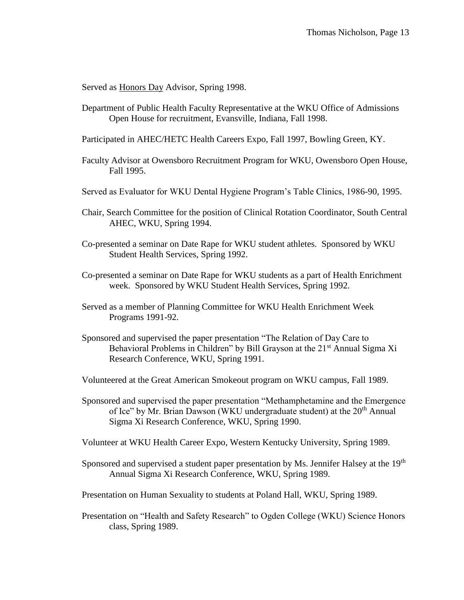Served as **Honors Day** Advisor, Spring 1998.

- Department of Public Health Faculty Representative at the WKU Office of Admissions Open House for recruitment, Evansville, Indiana, Fall 1998.
- Participated in AHEC/HETC Health Careers Expo, Fall 1997, Bowling Green, KY.
- Faculty Advisor at Owensboro Recruitment Program for WKU, Owensboro Open House, Fall 1995.
- Served as Evaluator for WKU Dental Hygiene Program's Table Clinics, 1986-90, 1995.
- Chair, Search Committee for the position of Clinical Rotation Coordinator, South Central AHEC, WKU, Spring 1994.
- Co-presented a seminar on Date Rape for WKU student athletes. Sponsored by WKU Student Health Services, Spring 1992.
- Co-presented a seminar on Date Rape for WKU students as a part of Health Enrichment week. Sponsored by WKU Student Health Services, Spring 1992.
- Served as a member of Planning Committee for WKU Health Enrichment Week Programs 1991-92.
- Sponsored and supervised the paper presentation "The Relation of Day Care to Behavioral Problems in Children" by Bill Grayson at the 21<sup>st</sup> Annual Sigma Xi Research Conference, WKU, Spring 1991.
- Volunteered at the Great American Smokeout program on WKU campus, Fall 1989.
- Sponsored and supervised the paper presentation "Methamphetamine and the Emergence of Ice" by Mr. Brian Dawson (WKU undergraduate student) at the 20<sup>th</sup> Annual Sigma Xi Research Conference, WKU, Spring 1990.
- Volunteer at WKU Health Career Expo, Western Kentucky University, Spring 1989.
- Sponsored and supervised a student paper presentation by Ms. Jennifer Halsey at the 19<sup>th</sup> Annual Sigma Xi Research Conference, WKU, Spring 1989.
- Presentation on Human Sexuality to students at Poland Hall, WKU, Spring 1989.
- Presentation on "Health and Safety Research" to Ogden College (WKU) Science Honors class, Spring 1989.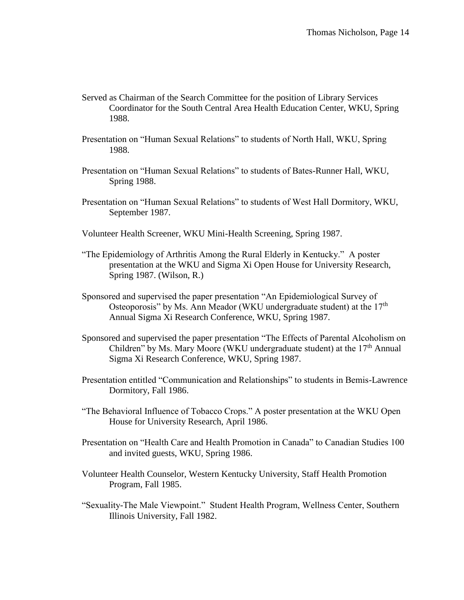- Served as Chairman of the Search Committee for the position of Library Services Coordinator for the South Central Area Health Education Center, WKU, Spring 1988.
- Presentation on "Human Sexual Relations" to students of North Hall, WKU, Spring 1988.
- Presentation on "Human Sexual Relations" to students of Bates-Runner Hall, WKU, Spring 1988.
- Presentation on "Human Sexual Relations" to students of West Hall Dormitory, WKU, September 1987.
- Volunteer Health Screener, WKU Mini-Health Screening, Spring 1987.
- "The Epidemiology of Arthritis Among the Rural Elderly in Kentucky." A poster presentation at the WKU and Sigma Xi Open House for University Research, Spring 1987. (Wilson, R.)
- Sponsored and supervised the paper presentation "An Epidemiological Survey of Osteoporosis" by Ms. Ann Meador (WKU undergraduate student) at the  $17<sup>th</sup>$ Annual Sigma Xi Research Conference, WKU, Spring 1987.
- Sponsored and supervised the paper presentation "The Effects of Parental Alcoholism on Children" by Ms. Mary Moore (WKU undergraduate student) at the  $17<sup>th</sup>$  Annual Sigma Xi Research Conference, WKU, Spring 1987.
- Presentation entitled "Communication and Relationships" to students in Bemis-Lawrence Dormitory, Fall 1986.
- "The Behavioral Influence of Tobacco Crops." A poster presentation at the WKU Open House for University Research, April 1986.
- Presentation on "Health Care and Health Promotion in Canada" to Canadian Studies 100 and invited guests, WKU, Spring 1986.
- Volunteer Health Counselor, Western Kentucky University, Staff Health Promotion Program, Fall 1985.
- "Sexuality-The Male Viewpoint." Student Health Program, Wellness Center, Southern Illinois University, Fall 1982.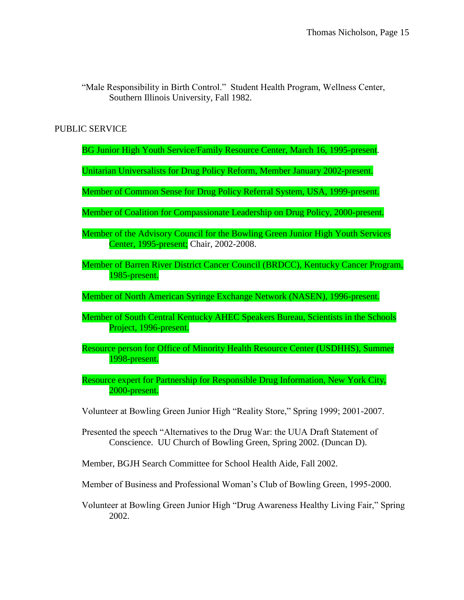"Male Responsibility in Birth Control." Student Health Program, Wellness Center, Southern Illinois University, Fall 1982.

# PUBLIC SERVICE

- BG Junior High Youth Service/Family Resource Center, March 16, 1995-present.
- Unitarian Universalists for Drug Policy Reform, Member January 2002-present.
- Member of Common Sense for Drug Policy Referral System, USA, 1999-present.
- Member of Coalition for Compassionate Leadership on Drug Policy, 2000-present.
- Member of the Advisory Council for the Bowling Green Junior High Youth Services Center, 1995-present; Chair, 2002-2008.
- Member of Barren River District Cancer Council (BRDCC), Kentucky Cancer Program, 1985-present.
- Member of North American Syringe Exchange Network (NASEN), 1996-present.
- Member of South Central Kentucky AHEC Speakers Bureau, Scientists in the Schools Project, 1996-present.
- Resource person for Office of Minority Health Resource Center (USDHHS), Summer 1998-present.
- Resource expert for Partnership for Responsible Drug Information, New York City, 2000-present.
- Volunteer at Bowling Green Junior High "Reality Store," Spring 1999; 2001-2007.
- Presented the speech "Alternatives to the Drug War: the UUA Draft Statement of Conscience. UU Church of Bowling Green, Spring 2002. (Duncan D).
- Member, BGJH Search Committee for School Health Aide, Fall 2002.
- Member of Business and Professional Woman's Club of Bowling Green, 1995-2000.
- Volunteer at Bowling Green Junior High "Drug Awareness Healthy Living Fair," Spring 2002.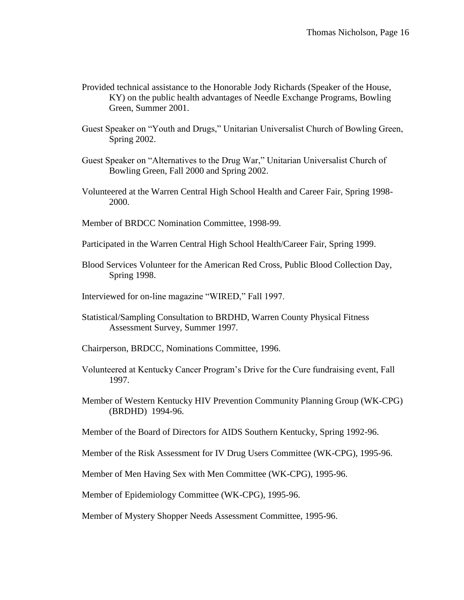- Provided technical assistance to the Honorable Jody Richards (Speaker of the House, KY) on the public health advantages of Needle Exchange Programs, Bowling Green, Summer 2001.
- Guest Speaker on "Youth and Drugs," Unitarian Universalist Church of Bowling Green, Spring 2002.
- Guest Speaker on "Alternatives to the Drug War," Unitarian Universalist Church of Bowling Green, Fall 2000 and Spring 2002.
- Volunteered at the Warren Central High School Health and Career Fair, Spring 1998- 2000.
- Member of BRDCC Nomination Committee, 1998-99.
- Participated in the Warren Central High School Health/Career Fair, Spring 1999.
- Blood Services Volunteer for the American Red Cross, Public Blood Collection Day, Spring 1998.
- Interviewed for on-line magazine "WIRED," Fall 1997.
- Statistical/Sampling Consultation to BRDHD, Warren County Physical Fitness Assessment Survey, Summer 1997.
- Chairperson, BRDCC, Nominations Committee, 1996.
- Volunteered at Kentucky Cancer Program's Drive for the Cure fundraising event, Fall 1997.
- Member of Western Kentucky HIV Prevention Community Planning Group (WK-CPG) (BRDHD) 1994-96.
- Member of the Board of Directors for AIDS Southern Kentucky, Spring 1992-96.
- Member of the Risk Assessment for IV Drug Users Committee (WK-CPG), 1995-96.
- Member of Men Having Sex with Men Committee (WK-CPG), 1995-96.
- Member of Epidemiology Committee (WK-CPG), 1995-96.
- Member of Mystery Shopper Needs Assessment Committee, 1995-96.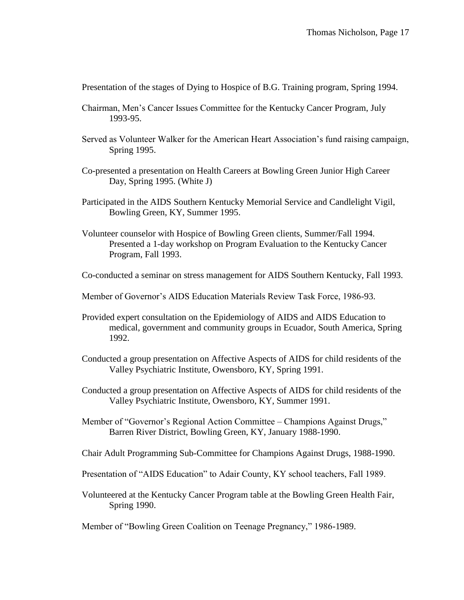Presentation of the stages of Dying to Hospice of B.G. Training program, Spring 1994.

- Chairman, Men's Cancer Issues Committee for the Kentucky Cancer Program, July 1993-95.
- Served as Volunteer Walker for the American Heart Association's fund raising campaign, Spring 1995.
- Co-presented a presentation on Health Careers at Bowling Green Junior High Career Day, Spring 1995. (White J)
- Participated in the AIDS Southern Kentucky Memorial Service and Candlelight Vigil, Bowling Green, KY, Summer 1995.
- Volunteer counselor with Hospice of Bowling Green clients, Summer/Fall 1994. Presented a 1-day workshop on Program Evaluation to the Kentucky Cancer Program, Fall 1993.
- Co-conducted a seminar on stress management for AIDS Southern Kentucky, Fall 1993.
- Member of Governor's AIDS Education Materials Review Task Force, 1986-93.
- Provided expert consultation on the Epidemiology of AIDS and AIDS Education to medical, government and community groups in Ecuador, South America, Spring 1992.
- Conducted a group presentation on Affective Aspects of AIDS for child residents of the Valley Psychiatric Institute, Owensboro, KY, Spring 1991.
- Conducted a group presentation on Affective Aspects of AIDS for child residents of the Valley Psychiatric Institute, Owensboro, KY, Summer 1991.
- Member of "Governor's Regional Action Committee Champions Against Drugs," Barren River District, Bowling Green, KY, January 1988-1990.
- Chair Adult Programming Sub-Committee for Champions Against Drugs, 1988-1990.
- Presentation of "AIDS Education" to Adair County, KY school teachers, Fall 1989.
- Volunteered at the Kentucky Cancer Program table at the Bowling Green Health Fair, Spring 1990.

Member of "Bowling Green Coalition on Teenage Pregnancy," 1986-1989.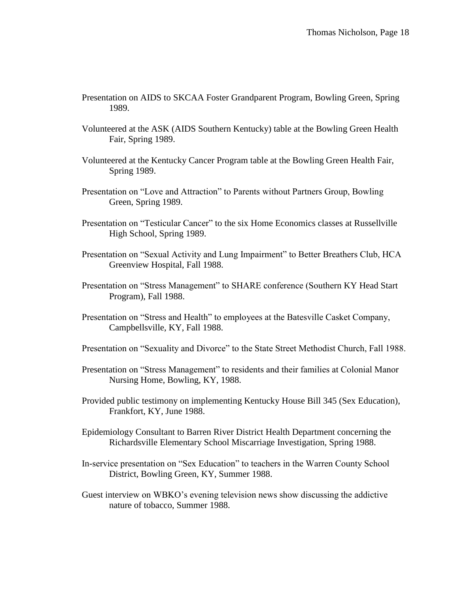- Presentation on AIDS to SKCAA Foster Grandparent Program, Bowling Green, Spring 1989.
- Volunteered at the ASK (AIDS Southern Kentucky) table at the Bowling Green Health Fair, Spring 1989.
- Volunteered at the Kentucky Cancer Program table at the Bowling Green Health Fair, Spring 1989.
- Presentation on "Love and Attraction" to Parents without Partners Group, Bowling Green, Spring 1989.
- Presentation on "Testicular Cancer" to the six Home Economics classes at Russellville High School, Spring 1989.
- Presentation on "Sexual Activity and Lung Impairment" to Better Breathers Club, HCA Greenview Hospital, Fall 1988.
- Presentation on "Stress Management" to SHARE conference (Southern KY Head Start Program), Fall 1988.
- Presentation on "Stress and Health" to employees at the Batesville Casket Company, Campbellsville, KY, Fall 1988.
- Presentation on "Sexuality and Divorce" to the State Street Methodist Church, Fall 1988.
- Presentation on "Stress Management" to residents and their families at Colonial Manor Nursing Home, Bowling, KY, 1988.
- Provided public testimony on implementing Kentucky House Bill 345 (Sex Education), Frankfort, KY, June 1988.
- Epidemiology Consultant to Barren River District Health Department concerning the Richardsville Elementary School Miscarriage Investigation, Spring 1988.
- In-service presentation on "Sex Education" to teachers in the Warren County School District, Bowling Green, KY, Summer 1988.
- Guest interview on WBKO's evening television news show discussing the addictive nature of tobacco, Summer 1988.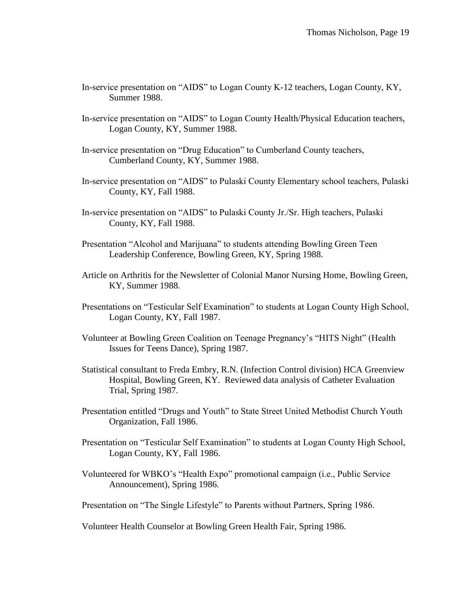- In-service presentation on "AIDS" to Logan County K-12 teachers, Logan County, KY, Summer 1988.
- In-service presentation on "AIDS" to Logan County Health/Physical Education teachers, Logan County, KY, Summer 1988.
- In-service presentation on "Drug Education" to Cumberland County teachers, Cumberland County, KY, Summer 1988.
- In-service presentation on "AIDS" to Pulaski County Elementary school teachers, Pulaski County, KY, Fall 1988.
- In-service presentation on "AIDS" to Pulaski County Jr./Sr. High teachers, Pulaski County, KY, Fall 1988.
- Presentation "Alcohol and Marijuana" to students attending Bowling Green Teen Leadership Conference, Bowling Green, KY, Spring 1988.
- Article on Arthritis for the Newsletter of Colonial Manor Nursing Home, Bowling Green, KY, Summer 1988.
- Presentations on "Testicular Self Examination" to students at Logan County High School, Logan County, KY, Fall 1987.
- Volunteer at Bowling Green Coalition on Teenage Pregnancy's "HITS Night" (Health Issues for Teens Dance), Spring 1987.
- Statistical consultant to Freda Embry, R.N. (Infection Control division) HCA Greenview Hospital, Bowling Green, KY. Reviewed data analysis of Catheter Evaluation Trial, Spring 1987.
- Presentation entitled "Drugs and Youth" to State Street United Methodist Church Youth Organization, Fall 1986.
- Presentation on "Testicular Self Examination" to students at Logan County High School, Logan County, KY, Fall 1986.
- Volunteered for WBKO's "Health Expo" promotional campaign (i.e., Public Service Announcement), Spring 1986.

Presentation on "The Single Lifestyle" to Parents without Partners, Spring 1986.

Volunteer Health Counselor at Bowling Green Health Fair, Spring 1986.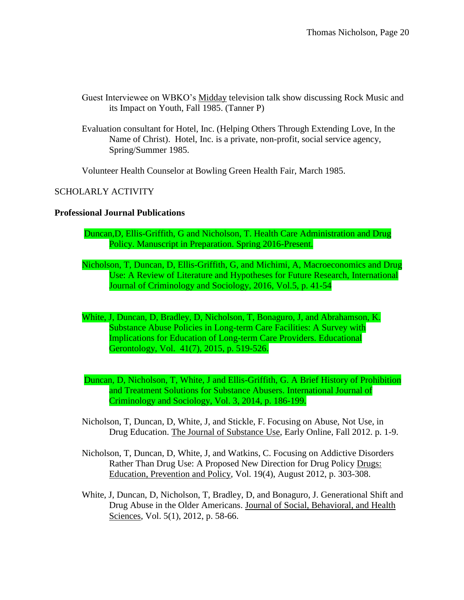- Guest Interviewee on WBKO's Midday television talk show discussing Rock Music and its Impact on Youth, Fall 1985. (Tanner P)
- Evaluation consultant for Hotel, Inc. (Helping Others Through Extending Love, In the Name of Christ). Hotel, Inc. is a private, non-profit, social service agency, Spring/Summer 1985.

Volunteer Health Counselor at Bowling Green Health Fair, March 1985.

# SCHOLARLY ACTIVITY

## **Professional Journal Publications**

- Duncan,D, Ellis-Griffith, G and Nicholson, T. Health Care Administration and Drug Policy. Manuscript in Preparation. Spring 2016-Present.
- Nicholson, T, Duncan, D, Ellis-Griffith, G, and Michimi, A, Macroeconomics and Drug Use: A Review of Literature and Hypotheses for Future Research, International Journal of Criminology and Sociology, 2016, Vol.5, p. 41-54
- White, J, Duncan, D, Bradley, D, Nicholson, T, Bonaguro, J, and Abrahamson, K. Substance Abuse Policies in Long-term Care Facilities: A Survey with Implications for Education of Long-term Care Providers. Educational Gerontology, Vol. 41(7), 2015, p. 519-526.
- Duncan, D, Nicholson, T, White, J and Ellis-Griffith, G. A Brief History of Prohibition and Treatment Solutions for Substance Abusers. International Journal of Criminology and Sociology, Vol. 3, 2014, p. 186-199.
- Nicholson, T, Duncan, D, White, J, and Stickle, F. Focusing on Abuse, Not Use, in Drug Education. The Journal of Substance Use, Early Online, Fall 2012. p. 1-9.
- Nicholson, T, Duncan, D, White, J, and Watkins, C. Focusing on Addictive Disorders Rather Than Drug Use: A Proposed New Direction for Drug Policy Drugs: Education, Prevention and Policy, Vol. 19(4), August 2012, p. 303-308.
- White, J, Duncan, D, Nicholson, T, Bradley, D, and Bonaguro, J. Generational Shift and Drug Abuse in the Older Americans. Journal of Social, Behavioral, and Health Sciences, Vol. 5(1), 2012, p. 58-66.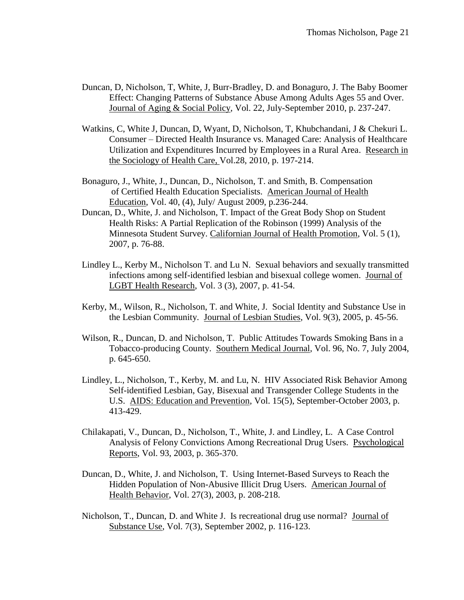- Duncan, D, Nicholson, T, White, J, Burr-Bradley, D. and Bonaguro, J. The Baby Boomer Effect: Changing Patterns of Substance Abuse Among Adults Ages 55 and Over. Journal of Aging & Social Policy, Vol. 22, July-September 2010, p. 237-247.
- Watkins, C, White J, Duncan, D, Wyant, D, Nicholson, T, Khubchandani, J & Chekuri L. Consumer – Directed Health Insurance vs. Managed Care: Analysis of Healthcare Utilization and Expenditures Incurred by Employees in a Rural Area. Research in the Sociology of Health Care, Vol.28, 2010, p. 197-214.
- Bonaguro, J., White, J., Duncan, D., Nicholson, T. and Smith, B. Compensation of Certified Health Education Specialists. American Journal of Health Education, Vol. 40, (4), July/ August 2009, p.236-244.
- Duncan, D., White, J. and Nicholson, T. Impact of the Great Body Shop on Student Health Risks: A Partial Replication of the Robinson (1999) Analysis of the Minnesota Student Survey. Californian Journal of Health Promotion, Vol. 5 (1), 2007, p. 76-88.
- Lindley L., Kerby M., Nicholson T. and Lu N. Sexual behaviors and sexually transmitted infections among self-identified lesbian and bisexual college women. Journal of LGBT Health Research, Vol. 3 (3), 2007, p. 41-54.
- Kerby, M., Wilson, R., Nicholson, T. and White, J. Social Identity and Substance Use in the Lesbian Community. Journal of Lesbian Studies, Vol. 9(3), 2005, p. 45-56.
- Wilson, R., Duncan, D. and Nicholson, T. Public Attitudes Towards Smoking Bans in a Tobacco-producing County. Southern Medical Journal, Vol. 96, No. 7, July 2004, p. 645-650.
- Lindley, L., Nicholson, T., Kerby, M. and Lu, N. HIV Associated Risk Behavior Among Self-identified Lesbian, Gay, Bisexual and Transgender College Students in the U.S. AIDS: Education and Prevention, Vol. 15(5), September-October 2003, p. 413-429.
- Chilakapati, V., Duncan, D., Nicholson, T., White, J. and Lindley, L. A Case Control Analysis of Felony Convictions Among Recreational Drug Users. Psychological Reports, Vol. 93, 2003, p. 365-370.
- Duncan, D., White, J. and Nicholson, T. Using Internet-Based Surveys to Reach the Hidden Population of Non-Abusive Illicit Drug Users. American Journal of Health Behavior, Vol. 27(3), 2003, p. 208-218.
- Nicholson, T., Duncan, D. and White J. Is recreational drug use normal? Journal of Substance Use, Vol. 7(3), September 2002, p. 116-123.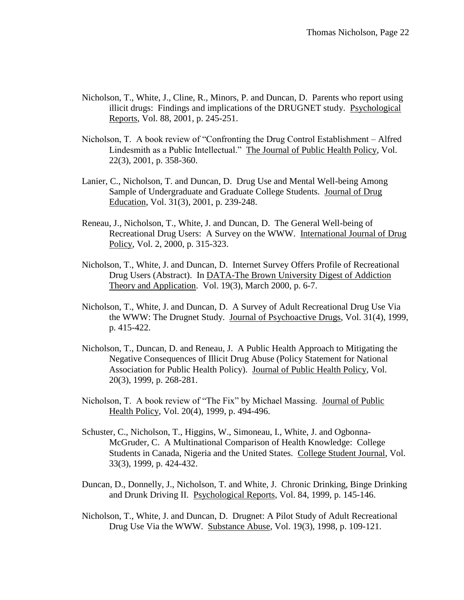- Nicholson, T., White, J., Cline, R., Minors, P. and Duncan, D. Parents who report using illicit drugs: Findings and implications of the DRUGNET study. Psychological Reports, Vol. 88, 2001, p. 245-251.
- Nicholson, T. A book review of "Confronting the Drug Control Establishment Alfred Lindesmith as a Public Intellectual." The Journal of Public Health Policy, Vol. 22(3), 2001, p. 358-360.
- Lanier, C., Nicholson, T. and Duncan, D. Drug Use and Mental Well-being Among Sample of Undergraduate and Graduate College Students. Journal of Drug Education, Vol. 31(3), 2001, p. 239-248.
- Reneau, J., Nicholson, T., White, J. and Duncan, D. The General Well-being of Recreational Drug Users: A Survey on the WWW. International Journal of Drug Policy, Vol. 2, 2000, p. 315-323.
- Nicholson, T., White, J. and Duncan, D. Internet Survey Offers Profile of Recreational Drug Users (Abstract). In DATA-The Brown University Digest of Addiction Theory and Application. Vol. 19(3), March 2000, p. 6-7.
- Nicholson, T., White, J. and Duncan, D. A Survey of Adult Recreational Drug Use Via the WWW: The Drugnet Study. Journal of Psychoactive Drugs, Vol. 31(4), 1999, p. 415-422.
- Nicholson, T., Duncan, D. and Reneau, J. A Public Health Approach to Mitigating the Negative Consequences of Illicit Drug Abuse (Policy Statement for National Association for Public Health Policy). Journal of Public Health Policy, Vol. 20(3), 1999, p. 268-281.
- Nicholson, T. A book review of "The Fix" by Michael Massing. Journal of Public Health Policy, Vol. 20(4), 1999, p. 494-496.
- Schuster, C., Nicholson, T., Higgins, W., Simoneau, I., White, J. and Ogbonna-McGruder, C. A Multinational Comparison of Health Knowledge: College Students in Canada, Nigeria and the United States. College Student Journal, Vol. 33(3), 1999, p. 424-432.
- Duncan, D., Donnelly, J., Nicholson, T. and White, J. Chronic Drinking, Binge Drinking and Drunk Driving II. Psychological Reports, Vol. 84, 1999, p. 145-146.
- Nicholson, T., White, J. and Duncan, D. Drugnet: A Pilot Study of Adult Recreational Drug Use Via the WWW. Substance Abuse, Vol. 19(3), 1998, p. 109-121.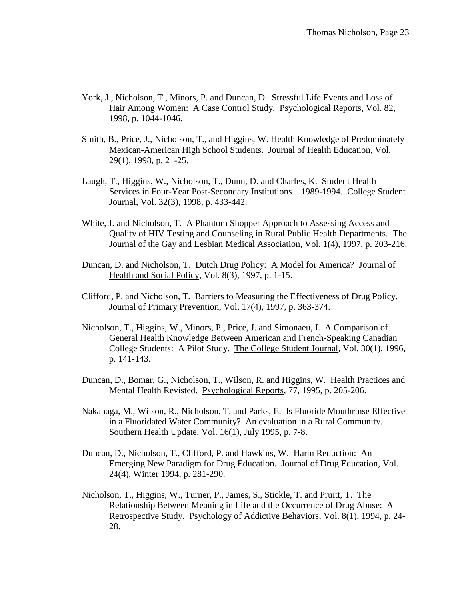- York, J., Nicholson, T., Minors, P. and Duncan, D. Stressful Life Events and Loss of Hair Among Women: A Case Control Study. Psychological Reports, Vol. 82, 1998, p. 1044-1046.
- Smith, B., Price, J., Nicholson, T., and Higgins, W. Health Knowledge of Predominately Mexican-American High School Students. Journal of Health Education, Vol. 29(1), 1998, p. 21-25.
- Laugh, T., Higgins, W., Nicholson, T., Dunn, D. and Charles, K. Student Health Services in Four-Year Post-Secondary Institutions – 1989-1994. College Student Journal, Vol. 32(3), 1998, p. 433-442.
- White, J. and Nicholson, T. A Phantom Shopper Approach to Assessing Access and Quality of HIV Testing and Counseling in Rural Public Health Departments. The Journal of the Gay and Lesbian Medical Association, Vol. 1(4), 1997, p. 203-216.
- Duncan, D. and Nicholson, T. Dutch Drug Policy: A Model for America? Journal of Health and Social Policy, Vol. 8(3), 1997, p. 1-15.
- Clifford, P. and Nicholson, T. Barriers to Measuring the Effectiveness of Drug Policy. Journal of Primary Prevention, Vol. 17(4), 1997, p. 363-374.
- Nicholson, T., Higgins, W., Minors, P., Price, J. and Simonaeu, I. A Comparison of General Health Knowledge Between American and French-Speaking Canadian College Students: A Pilot Study. The College Student Journal, Vol. 30(1), 1996, p. 141-143.
- Duncan, D., Bomar, G., Nicholson, T., Wilson, R. and Higgins, W. Health Practices and Mental Health Revisted. Psychological Reports, 77, 1995, p. 205-206.
- Nakanaga, M., Wilson, R., Nicholson, T. and Parks, E. Is Fluoride Mouthrinse Effective in a Fluoridated Water Community? An evaluation in a Rural Community. Southern Health Update, Vol. 16(1), July 1995, p. 7-8.
- Duncan, D., Nicholson, T., Clifford, P. and Hawkins, W. Harm Reduction: An Emerging New Paradigm for Drug Education. Journal of Drug Education, Vol. 24(4), Winter 1994, p. 281-290.
- Nicholson, T., Higgins, W., Turner, P., James, S., Stickle, T. and Pruitt, T. The Relationship Between Meaning in Life and the Occurrence of Drug Abuse: A Retrospective Study. Psychology of Addictive Behaviors, Vol. 8(1), 1994, p. 24- 28.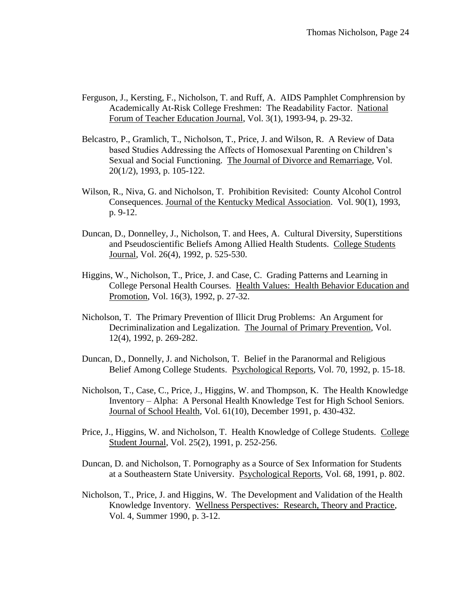- Ferguson, J., Kersting, F., Nicholson, T. and Ruff, A. AIDS Pamphlet Comphrension by Academically At-Risk College Freshmen: The Readability Factor. National Forum of Teacher Education Journal, Vol. 3(1), 1993-94, p. 29-32.
- Belcastro, P., Gramlich, T., Nicholson, T., Price, J. and Wilson, R. A Review of Data based Studies Addressing the Affects of Homosexual Parenting on Children's Sexual and Social Functioning. The Journal of Divorce and Remarriage, Vol. 20(1/2), 1993, p. 105-122.
- Wilson, R., Niva, G. and Nicholson, T. Prohibition Revisited: County Alcohol Control Consequences. Journal of the Kentucky Medical Association. Vol. 90(1), 1993, p. 9-12.
- Duncan, D., Donnelley, J., Nicholson, T. and Hees, A. Cultural Diversity, Superstitions and Pseudoscientific Beliefs Among Allied Health Students. College Students Journal, Vol. 26(4), 1992, p. 525-530.
- Higgins, W., Nicholson, T., Price, J. and Case, C. Grading Patterns and Learning in College Personal Health Courses. Health Values: Health Behavior Education and Promotion, Vol. 16(3), 1992, p. 27-32.
- Nicholson, T. The Primary Prevention of Illicit Drug Problems: An Argument for Decriminalization and Legalization. The Journal of Primary Prevention, Vol. 12(4), 1992, p. 269-282.
- Duncan, D., Donnelly, J. and Nicholson, T. Belief in the Paranormal and Religious Belief Among College Students. Psychological Reports, Vol. 70, 1992, p. 15-18.
- Nicholson, T., Case, C., Price, J., Higgins, W. and Thompson, K. The Health Knowledge Inventory – Alpha: A Personal Health Knowledge Test for High School Seniors. Journal of School Health, Vol. 61(10), December 1991, p. 430-432.
- Price, J., Higgins, W. and Nicholson, T. Health Knowledge of College Students. College Student Journal, Vol. 25(2), 1991, p. 252-256.
- Duncan, D. and Nicholson, T. Pornography as a Source of Sex Information for Students at a Southeastern State University. Psychological Reports, Vol. 68, 1991, p. 802.
- Nicholson, T., Price, J. and Higgins, W. The Development and Validation of the Health Knowledge Inventory. Wellness Perspectives: Research, Theory and Practice, Vol. 4, Summer 1990, p. 3-12.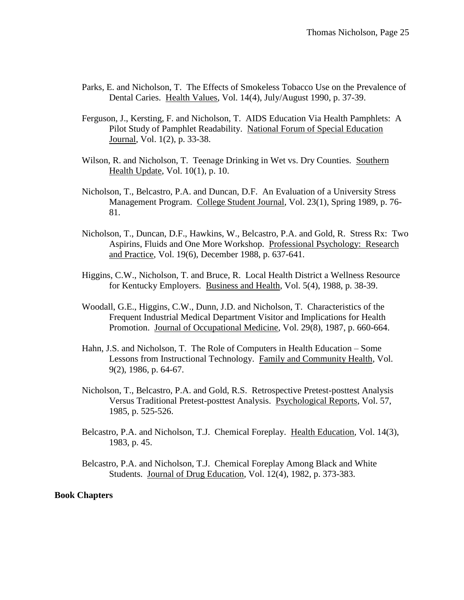- Parks, E. and Nicholson, T. The Effects of Smokeless Tobacco Use on the Prevalence of Dental Caries. Health Values, Vol. 14(4), July/August 1990, p. 37-39.
- Ferguson, J., Kersting, F. and Nicholson, T. AIDS Education Via Health Pamphlets: A Pilot Study of Pamphlet Readability. National Forum of Special Education Journal, Vol. 1(2), p. 33-38.
- Wilson, R. and Nicholson, T. Teenage Drinking in Wet vs. Dry Counties. Southern Health Update, Vol. 10(1), p. 10.
- Nicholson, T., Belcastro, P.A. and Duncan, D.F. An Evaluation of a University Stress Management Program. College Student Journal, Vol. 23(1), Spring 1989, p. 76- 81.
- Nicholson, T., Duncan, D.F., Hawkins, W., Belcastro, P.A. and Gold, R. Stress Rx: Two Aspirins, Fluids and One More Workshop. Professional Psychology: Research and Practice, Vol. 19(6), December 1988, p. 637-641.
- Higgins, C.W., Nicholson, T. and Bruce, R. Local Health District a Wellness Resource for Kentucky Employers. Business and Health, Vol. 5(4), 1988, p. 38-39.
- Woodall, G.E., Higgins, C.W., Dunn, J.D. and Nicholson, T. Characteristics of the Frequent Industrial Medical Department Visitor and Implications for Health Promotion. Journal of Occupational Medicine, Vol. 29(8), 1987, p. 660-664.
- Hahn, J.S. and Nicholson, T. The Role of Computers in Health Education Some Lessons from Instructional Technology. Family and Community Health, Vol. 9(2), 1986, p. 64-67.
- Nicholson, T., Belcastro, P.A. and Gold, R.S. Retrospective Pretest-posttest Analysis Versus Traditional Pretest-posttest Analysis. Psychological Reports, Vol. 57, 1985, p. 525-526.
- Belcastro, P.A. and Nicholson, T.J. Chemical Foreplay. Health Education, Vol. 14(3), 1983, p. 45.
- Belcastro, P.A. and Nicholson, T.J. Chemical Foreplay Among Black and White Students. Journal of Drug Education, Vol. 12(4), 1982, p. 373-383.

#### **Book Chapters**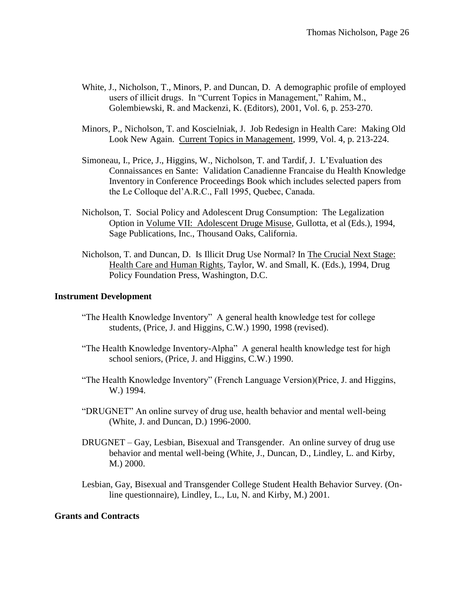- White, J., Nicholson, T., Minors, P. and Duncan, D. A demographic profile of employed users of illicit drugs. In "Current Topics in Management," Rahim, M., Golembiewski, R. and Mackenzi, K. (Editors), 2001, Vol. 6, p. 253-270.
- Minors, P., Nicholson, T. and Koscielniak, J. Job Redesign in Health Care: Making Old Look New Again. Current Topics in Management, 1999, Vol. 4, p. 213-224.
- Simoneau, I., Price, J., Higgins, W., Nicholson, T. and Tardif, J. L'Evaluation des Connaissances en Sante: Validation Canadienne Francaise du Health Knowledge Inventory in Conference Proceedings Book which includes selected papers from the Le Colloque del'A.R.C., Fall 1995, Quebec, Canada.
- Nicholson, T. Social Policy and Adolescent Drug Consumption: The Legalization Option in Volume VII: Adolescent Druge Misuse, Gullotta, et al (Eds.), 1994, Sage Publications, Inc., Thousand Oaks, California.
- Nicholson, T. and Duncan, D. Is Illicit Drug Use Normal? In The Crucial Next Stage: Health Care and Human Rights, Taylor, W. and Small, K. (Eds.), 1994, Drug Policy Foundation Press, Washington, D.C.

## **Instrument Development**

- "The Health Knowledge Inventory" A general health knowledge test for college students, (Price, J. and Higgins, C.W.) 1990, 1998 (revised).
- "The Health Knowledge Inventory-Alpha" A general health knowledge test for high school seniors, (Price, J. and Higgins, C.W.) 1990.
- "The Health Knowledge Inventory" (French Language Version)(Price, J. and Higgins, W.) 1994.
- "DRUGNET" An online survey of drug use, health behavior and mental well-being (White, J. and Duncan, D.) 1996-2000.
- DRUGNET Gay, Lesbian, Bisexual and Transgender. An online survey of drug use behavior and mental well-being (White, J., Duncan, D., Lindley, L. and Kirby, M.) 2000.
- Lesbian, Gay, Bisexual and Transgender College Student Health Behavior Survey. (Online questionnaire), Lindley, L., Lu, N. and Kirby, M.) 2001.

## **Grants and Contracts**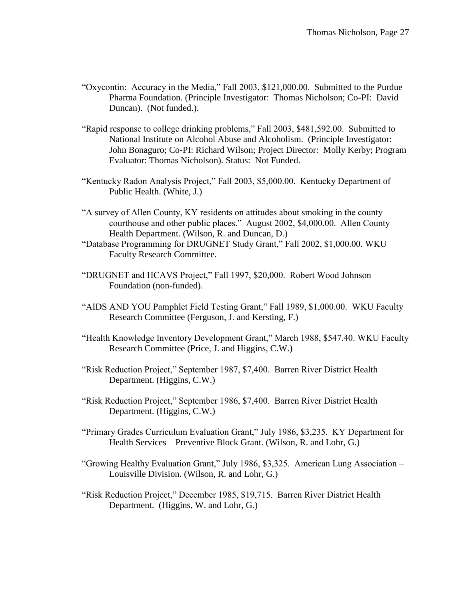- "Oxycontin: Accuracy in the Media," Fall 2003, \$121,000.00. Submitted to the Purdue Pharma Foundation. (Principle Investigator: Thomas Nicholson; Co-PI: David Duncan). (Not funded.).
- "Rapid response to college drinking problems," Fall 2003, \$481,592.00. Submitted to National Institute on Alcohol Abuse and Alcoholism. (Principle Investigator: John Bonaguro; Co-PI: Richard Wilson; Project Director: Molly Kerby; Program Evaluator: Thomas Nicholson). Status: Not Funded.
- "Kentucky Radon Analysis Project," Fall 2003, \$5,000.00. Kentucky Department of Public Health. (White, J.)
- "A survey of Allen County, KY residents on attitudes about smoking in the county courthouse and other public places." August 2002, \$4,000.00. Allen County Health Department. (Wilson, R. and Duncan, D.)
- "Database Programming for DRUGNET Study Grant," Fall 2002, \$1,000.00. WKU Faculty Research Committee.
- "DRUGNET and HCAVS Project," Fall 1997, \$20,000. Robert Wood Johnson Foundation (non-funded).
- "AIDS AND YOU Pamphlet Field Testing Grant," Fall 1989, \$1,000.00. WKU Faculty Research Committee (Ferguson, J. and Kersting, F.)
- "Health Knowledge Inventory Development Grant," March 1988, \$547.40. WKU Faculty Research Committee (Price, J. and Higgins, C.W.)
- "Risk Reduction Project," September 1987, \$7,400. Barren River District Health Department. (Higgins, C.W.)
- "Risk Reduction Project," September 1986, \$7,400. Barren River District Health Department. (Higgins, C.W.)
- "Primary Grades Curriculum Evaluation Grant," July 1986, \$3,235. KY Department for Health Services – Preventive Block Grant. (Wilson, R. and Lohr, G.)
- "Growing Healthy Evaluation Grant," July 1986, \$3,325. American Lung Association Louisville Division. (Wilson, R. and Lohr, G.)
- "Risk Reduction Project," December 1985, \$19,715. Barren River District Health Department. (Higgins, W. and Lohr, G.)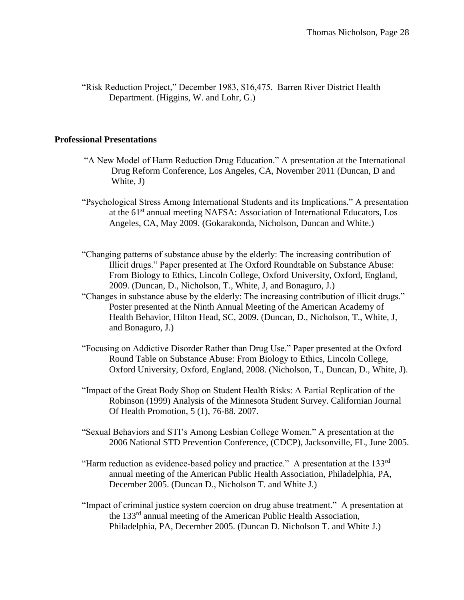"Risk Reduction Project," December 1983, \$16,475. Barren River District Health Department. (Higgins, W. and Lohr, G.)

## **Professional Presentations**

- "A New Model of Harm Reduction Drug Education." A presentation at the International Drug Reform Conference, Los Angeles, CA, November 2011 (Duncan, D and White, J)
- "Psychological Stress Among International Students and its Implications." A presentation at the 61<sup>st</sup> annual meeting NAFSA: Association of International Educators, Los Angeles, CA, May 2009. (Gokarakonda, Nicholson, Duncan and White.)
- "Changing patterns of substance abuse by the elderly: The increasing contribution of Illicit drugs." Paper presented at The Oxford Roundtable on Substance Abuse: From Biology to Ethics, Lincoln College, Oxford University, Oxford, England, 2009. (Duncan, D., Nicholson, T., White, J, and Bonaguro, J.)
- "Changes in substance abuse by the elderly: The increasing contribution of illicit drugs." Poster presented at the Ninth Annual Meeting of the American Academy of Health Behavior, Hilton Head, SC, 2009. (Duncan, D., Nicholson, T., White, J, and Bonaguro, J.)
- "Focusing on Addictive Disorder Rather than Drug Use." Paper presented at the Oxford Round Table on Substance Abuse: From Biology to Ethics, Lincoln College, Oxford University, Oxford, England, 2008. (Nicholson, T., Duncan, D., White, J).
- "Impact of the Great Body Shop on Student Health Risks: A Partial Replication of the Robinson (1999) Analysis of the Minnesota Student Survey. Californian Journal Of Health Promotion, 5 (1), 76-88. 2007.
- "Sexual Behaviors and STI's Among Lesbian College Women." A presentation at the 2006 National STD Prevention Conference, (CDCP), Jacksonville, FL, June 2005.
- "Harm reduction as evidence-based policy and practice." A presentation at the  $133<sup>rd</sup>$ annual meeting of the American Public Health Association, Philadelphia, PA, December 2005. (Duncan D., Nicholson T. and White J.)
- "Impact of criminal justice system coercion on drug abuse treatment." A presentation at the 133rd annual meeting of the American Public Health Association, Philadelphia, PA, December 2005. (Duncan D. Nicholson T. and White J.)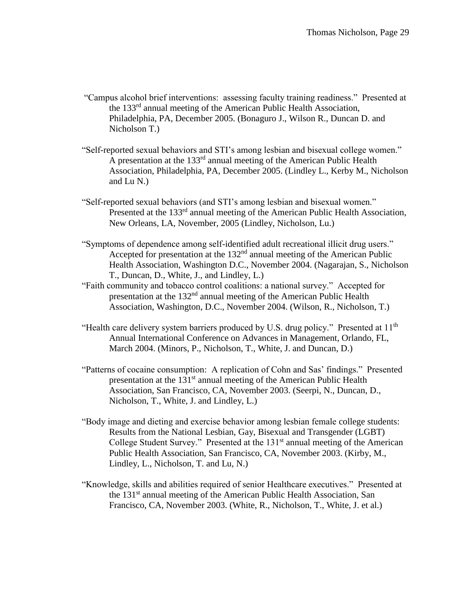- "Campus alcohol brief interventions: assessing faculty training readiness." Presented at the 133rd annual meeting of the American Public Health Association, Philadelphia, PA, December 2005. (Bonaguro J., Wilson R., Duncan D. and Nicholson T.)
- "Self-reported sexual behaviors and STI's among lesbian and bisexual college women." A presentation at the 133rd annual meeting of the American Public Health Association, Philadelphia, PA, December 2005. (Lindley L., Kerby M., Nicholson and Lu N.)
- "Self-reported sexual behaviors (and STI's among lesbian and bisexual women." Presented at the 133<sup>rd</sup> annual meeting of the American Public Health Association, New Orleans, LA, November, 2005 (Lindley, Nicholson, Lu.)
- "Symptoms of dependence among self-identified adult recreational illicit drug users." Accepted for presentation at the 132<sup>nd</sup> annual meeting of the American Public Health Association, Washington D.C., November 2004. (Nagarajan, S., Nicholson T., Duncan, D., White, J., and Lindley, L.)
- "Faith community and tobacco control coalitions: a national survey." Accepted for presentation at the 132nd annual meeting of the American Public Health Association, Washington, D.C., November 2004. (Wilson, R., Nicholson, T.)
- "Health care delivery system barriers produced by U.S. drug policy." Presented at 11<sup>th</sup> Annual International Conference on Advances in Management, Orlando, FL, March 2004. (Minors, P., Nicholson, T., White, J. and Duncan, D.)
- "Patterns of cocaine consumption: A replication of Cohn and Sas' findings." Presented presentation at the 131st annual meeting of the American Public Health Association, San Francisco, CA, November 2003. (Seerpi, N., Duncan, D., Nicholson, T., White, J. and Lindley, L.)
- "Body image and dieting and exercise behavior among lesbian female college students: Results from the National Lesbian, Gay, Bisexual and Transgender (LGBT) College Student Survey." Presented at the  $131<sup>st</sup>$  annual meeting of the American Public Health Association, San Francisco, CA, November 2003. (Kirby, M., Lindley, L., Nicholson, T. and Lu, N.)
- "Knowledge, skills and abilities required of senior Healthcare executives." Presented at the 131<sup>st</sup> annual meeting of the American Public Health Association, San Francisco, CA, November 2003. (White, R., Nicholson, T., White, J. et al.)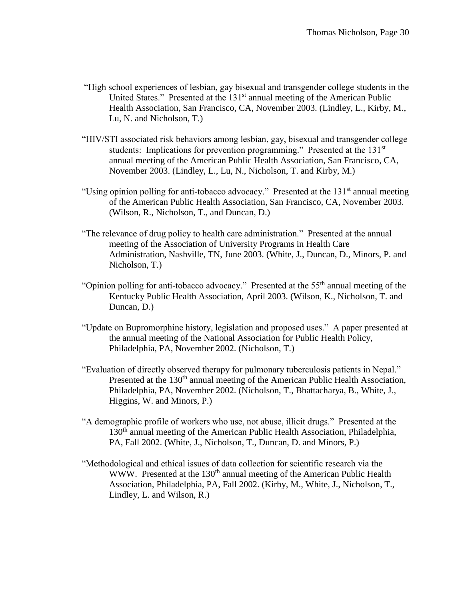- "High school experiences of lesbian, gay bisexual and transgender college students in the United States." Presented at the 131<sup>st</sup> annual meeting of the American Public Health Association, San Francisco, CA, November 2003. (Lindley, L., Kirby, M., Lu, N. and Nicholson, T.)
- "HIV/STI associated risk behaviors among lesbian, gay, bisexual and transgender college students: Implications for prevention programming." Presented at the 131<sup>st</sup> annual meeting of the American Public Health Association, San Francisco, CA, November 2003. (Lindley, L., Lu, N., Nicholson, T. and Kirby, M.)
- "Using opinion polling for anti-tobacco advocacy." Presented at the 131<sup>st</sup> annual meeting of the American Public Health Association, San Francisco, CA, November 2003. (Wilson, R., Nicholson, T., and Duncan, D.)
- "The relevance of drug policy to health care administration." Presented at the annual meeting of the Association of University Programs in Health Care Administration, Nashville, TN, June 2003. (White, J., Duncan, D., Minors, P. and Nicholson, T.)
- "Opinion polling for anti-tobacco advocacy." Presented at the  $55<sup>th</sup>$  annual meeting of the Kentucky Public Health Association, April 2003. (Wilson, K., Nicholson, T. and Duncan, D.)
- "Update on Bupromorphine history, legislation and proposed uses." A paper presented at the annual meeting of the National Association for Public Health Policy, Philadelphia, PA, November 2002. (Nicholson, T.)
- "Evaluation of directly observed therapy for pulmonary tuberculosis patients in Nepal." Presented at the 130<sup>th</sup> annual meeting of the American Public Health Association, Philadelphia, PA, November 2002. (Nicholson, T., Bhattacharya, B., White, J., Higgins, W. and Minors, P.)
- "A demographic profile of workers who use, not abuse, illicit drugs." Presented at the 130<sup>th</sup> annual meeting of the American Public Health Association, Philadelphia, PA, Fall 2002. (White, J., Nicholson, T., Duncan, D. and Minors, P.)
- "Methodological and ethical issues of data collection for scientific research via the WWW. Presented at the 130<sup>th</sup> annual meeting of the American Public Health Association, Philadelphia, PA, Fall 2002. (Kirby, M., White, J., Nicholson, T., Lindley, L. and Wilson, R.)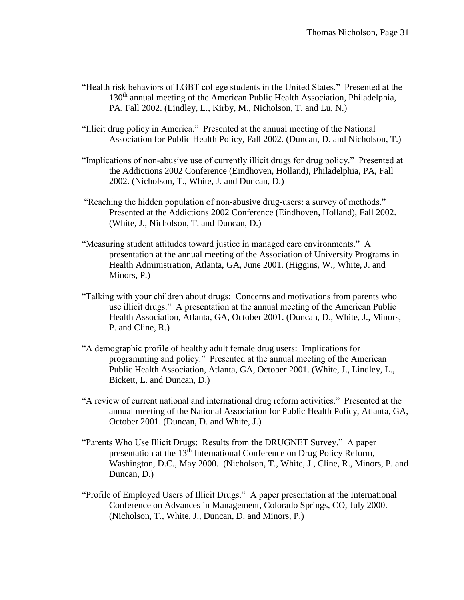- "Health risk behaviors of LGBT college students in the United States." Presented at the 130<sup>th</sup> annual meeting of the American Public Health Association, Philadelphia, PA, Fall 2002. (Lindley, L., Kirby, M., Nicholson, T. and Lu, N.)
- "Illicit drug policy in America." Presented at the annual meeting of the National Association for Public Health Policy, Fall 2002. (Duncan, D. and Nicholson, T.)
- "Implications of non-abusive use of currently illicit drugs for drug policy." Presented at the Addictions 2002 Conference (Eindhoven, Holland), Philadelphia, PA, Fall 2002. (Nicholson, T., White, J. and Duncan, D.)
- "Reaching the hidden population of non-abusive drug-users: a survey of methods." Presented at the Addictions 2002 Conference (Eindhoven, Holland), Fall 2002. (White, J., Nicholson, T. and Duncan, D.)
- "Measuring student attitudes toward justice in managed care environments." A presentation at the annual meeting of the Association of University Programs in Health Administration, Atlanta, GA, June 2001. (Higgins, W., White, J. and Minors, P.)
- "Talking with your children about drugs: Concerns and motivations from parents who use illicit drugs." A presentation at the annual meeting of the American Public Health Association, Atlanta, GA, October 2001. (Duncan, D., White, J., Minors, P. and Cline, R.)
- "A demographic profile of healthy adult female drug users: Implications for programming and policy." Presented at the annual meeting of the American Public Health Association, Atlanta, GA, October 2001. (White, J., Lindley, L., Bickett, L. and Duncan, D.)
- "A review of current national and international drug reform activities." Presented at the annual meeting of the National Association for Public Health Policy, Atlanta, GA, October 2001. (Duncan, D. and White, J.)
- "Parents Who Use Illicit Drugs: Results from the DRUGNET Survey." A paper presentation at the 13<sup>th</sup> International Conference on Drug Policy Reform, Washington, D.C., May 2000. (Nicholson, T., White, J., Cline, R., Minors, P. and Duncan, D.)
- "Profile of Employed Users of Illicit Drugs." A paper presentation at the International Conference on Advances in Management, Colorado Springs, CO, July 2000. (Nicholson, T., White, J., Duncan, D. and Minors, P.)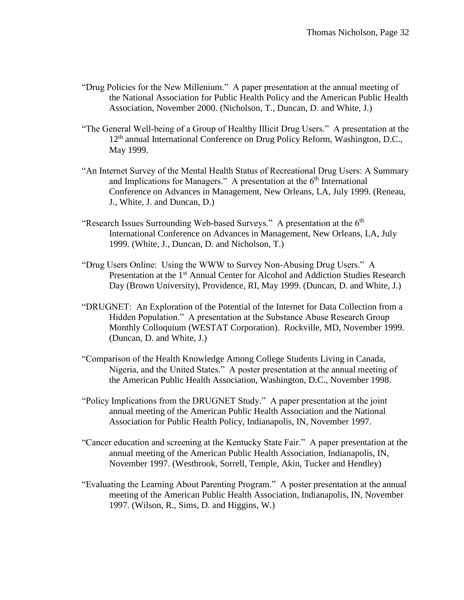- "Drug Policies for the New Millenium." A paper presentation at the annual meeting of the National Association for Public Health Policy and the American Public Health Association, November 2000. (Nicholson, T., Duncan, D. and White, J.)
- "The General Well-being of a Group of Healthy Illicit Drug Users." A presentation at the 12<sup>th</sup> annual International Conference on Drug Policy Reform, Washington, D.C., May 1999.
- "An Internet Survey of the Mental Health Status of Recreational Drug Users: A Summary and Implications for Managers." A presentation at the  $6<sup>th</sup>$  International Conference on Advances in Management, New Orleans, LA, July 1999. (Reneau, J., White, J. and Duncan, D.)
- "Research Issues Surrounding Web-based Surveys." A presentation at the  $6<sup>th</sup>$ International Conference on Advances in Management, New Orleans, LA, July 1999. (White, J., Duncan, D. and Nicholson, T.)
- "Drug Users Online: Using the WWW to Survey Non-Abusing Drug Users." A Presentation at the 1<sup>st</sup> Annual Center for Alcohol and Addiction Studies Research Day (Brown University), Providence, RI, May 1999. (Duncan, D. and White, J.)
- "DRUGNET: An Exploration of the Potential of the Internet for Data Collection from a Hidden Population." A presentation at the Substance Abuse Research Group Monthly Colloquium (WESTAT Corporation). Rockville, MD, November 1999. (Duncan, D. and White, J.)
- "Comparison of the Health Knowledge Among College Students Living in Canada, Nigeria, and the United States." A poster presentation at the annual meeting of the American Public Health Association, Washington, D.C., November 1998.
- "Policy Implications from the DRUGNET Study." A paper presentation at the joint annual meeting of the American Public Health Association and the National Association for Public Health Policy, Indianapolis, IN, November 1997.
- "Cancer education and screening at the Kentucky State Fair." A paper presentation at the annual meeting of the American Public Health Association, Indianapolis, IN, November 1997. (Westbrook, Sorrell, Temple, Akin, Tucker and Hendley)
- "Evaluating the Learning About Parenting Program." A poster presentation at the annual meeting of the American Public Health Association, Indianapolis, IN, November 1997. (Wilson, R., Sims, D. and Higgins, W.)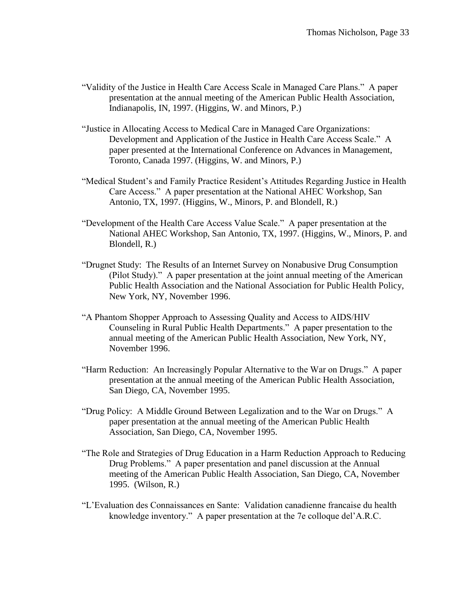- "Validity of the Justice in Health Care Access Scale in Managed Care Plans." A paper presentation at the annual meeting of the American Public Health Association, Indianapolis, IN, 1997. (Higgins, W. and Minors, P.)
- "Justice in Allocating Access to Medical Care in Managed Care Organizations: Development and Application of the Justice in Health Care Access Scale." A paper presented at the International Conference on Advances in Management, Toronto, Canada 1997. (Higgins, W. and Minors, P.)
- "Medical Student's and Family Practice Resident's Attitudes Regarding Justice in Health Care Access." A paper presentation at the National AHEC Workshop, San Antonio, TX, 1997. (Higgins, W., Minors, P. and Blondell, R.)
- "Development of the Health Care Access Value Scale." A paper presentation at the National AHEC Workshop, San Antonio, TX, 1997. (Higgins, W., Minors, P. and Blondell, R.)
- "Drugnet Study: The Results of an Internet Survey on Nonabusive Drug Consumption (Pilot Study)." A paper presentation at the joint annual meeting of the American Public Health Association and the National Association for Public Health Policy, New York, NY, November 1996.
- "A Phantom Shopper Approach to Assessing Quality and Access to AIDS/HIV Counseling in Rural Public Health Departments." A paper presentation to the annual meeting of the American Public Health Association, New York, NY, November 1996.
- "Harm Reduction: An Increasingly Popular Alternative to the War on Drugs." A paper presentation at the annual meeting of the American Public Health Association, San Diego, CA, November 1995.
- "Drug Policy: A Middle Ground Between Legalization and to the War on Drugs." A paper presentation at the annual meeting of the American Public Health Association, San Diego, CA, November 1995.
- "The Role and Strategies of Drug Education in a Harm Reduction Approach to Reducing Drug Problems." A paper presentation and panel discussion at the Annual meeting of the American Public Health Association, San Diego, CA, November 1995. (Wilson, R.)
- "L'Evaluation des Connaissances en Sante: Validation canadienne francaise du health knowledge inventory." A paper presentation at the 7e colloque del'A.R.C.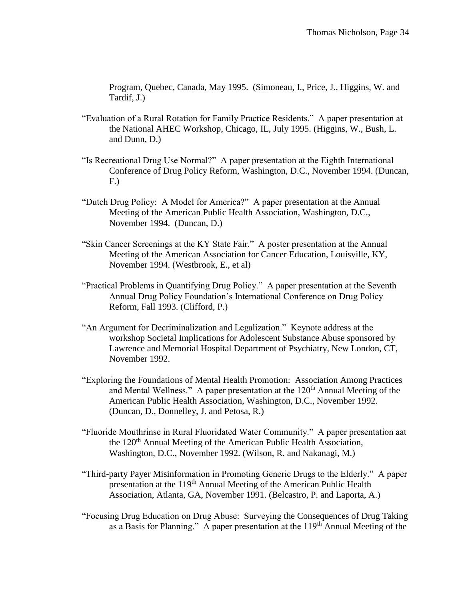Program, Quebec, Canada, May 1995. (Simoneau, I., Price, J., Higgins, W. and Tardif, J.)

- "Evaluation of a Rural Rotation for Family Practice Residents." A paper presentation at the National AHEC Workshop, Chicago, IL, July 1995. (Higgins, W., Bush, L. and Dunn, D.)
- "Is Recreational Drug Use Normal?" A paper presentation at the Eighth International Conference of Drug Policy Reform, Washington, D.C., November 1994. (Duncan, F.)
- "Dutch Drug Policy: A Model for America?" A paper presentation at the Annual Meeting of the American Public Health Association, Washington, D.C., November 1994. (Duncan, D.)
- "Skin Cancer Screenings at the KY State Fair." A poster presentation at the Annual Meeting of the American Association for Cancer Education, Louisville, KY, November 1994. (Westbrook, E., et al)
- "Practical Problems in Quantifying Drug Policy." A paper presentation at the Seventh Annual Drug Policy Foundation's International Conference on Drug Policy Reform, Fall 1993. (Clifford, P.)
- "An Argument for Decriminalization and Legalization." Keynote address at the workshop Societal Implications for Adolescent Substance Abuse sponsored by Lawrence and Memorial Hospital Department of Psychiatry, New London, CT, November 1992.
- "Exploring the Foundations of Mental Health Promotion: Association Among Practices and Mental Wellness." A paper presentation at the  $120<sup>th</sup>$  Annual Meeting of the American Public Health Association, Washington, D.C., November 1992. (Duncan, D., Donnelley, J. and Petosa, R.)
- "Fluoride Mouthrinse in Rural Fluoridated Water Community." A paper presentation aat the  $120<sup>th</sup>$  Annual Meeting of the American Public Health Association, Washington, D.C., November 1992. (Wilson, R. and Nakanagi, M.)
- "Third-party Payer Misinformation in Promoting Generic Drugs to the Elderly." A paper presentation at the 119<sup>th</sup> Annual Meeting of the American Public Health Association, Atlanta, GA, November 1991. (Belcastro, P. and Laporta, A.)
- "Focusing Drug Education on Drug Abuse: Surveying the Consequences of Drug Taking as a Basis for Planning." A paper presentation at the  $119<sup>th</sup>$  Annual Meeting of the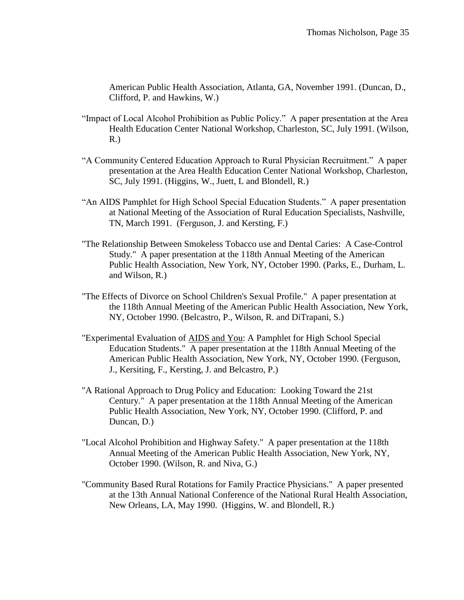American Public Health Association, Atlanta, GA, November 1991. (Duncan, D., Clifford, P. and Hawkins, W.)

- "Impact of Local Alcohol Prohibition as Public Policy." A paper presentation at the Area Health Education Center National Workshop, Charleston, SC, July 1991. (Wilson, R.)
- "A Community Centered Education Approach to Rural Physician Recruitment." A paper presentation at the Area Health Education Center National Workshop, Charleston, SC, July 1991. (Higgins, W., Juett, L and Blondell, R.)
- "An AIDS Pamphlet for High School Special Education Students." A paper presentation at National Meeting of the Association of Rural Education Specialists, Nashville, TN, March 1991. (Ferguson, J. and Kersting, F.)
- "The Relationship Between Smokeless Tobacco use and Dental Caries: A Case-Control Study." A paper presentation at the 118th Annual Meeting of the American Public Health Association, New York, NY, October 1990. (Parks, E., Durham, L. and Wilson, R.)
- "The Effects of Divorce on School Children's Sexual Profile." A paper presentation at the 118th Annual Meeting of the American Public Health Association, New York, NY, October 1990. (Belcastro, P., Wilson, R. and DiTrapani, S.)
- "Experimental Evaluation of AIDS and You: A Pamphlet for High School Special Education Students." A paper presentation at the 118th Annual Meeting of the American Public Health Association, New York, NY, October 1990. (Ferguson, J., Kersiting, F., Kersting, J. and Belcastro, P.)
- "A Rational Approach to Drug Policy and Education: Looking Toward the 21st Century." A paper presentation at the 118th Annual Meeting of the American Public Health Association, New York, NY, October 1990. (Clifford, P. and Duncan, D.)
- "Local Alcohol Prohibition and Highway Safety." A paper presentation at the 118th Annual Meeting of the American Public Health Association, New York, NY, October 1990. (Wilson, R. and Niva, G.)
- "Community Based Rural Rotations for Family Practice Physicians." A paper presented at the 13th Annual National Conference of the National Rural Health Association, New Orleans, LA, May 1990. (Higgins, W. and Blondell, R.)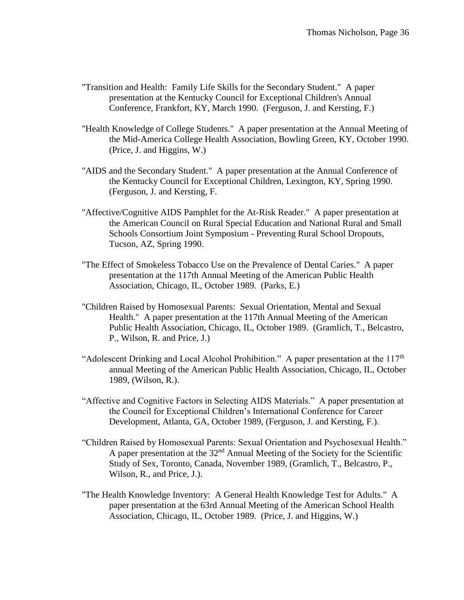- "Transition and Health: Family Life Skills for the Secondary Student." A paper presentation at the Kentucky Council for Exceptional Children's Annual Conference, Frankfort, KY, March 1990. (Ferguson, J. and Kersting, F.)
- "Health Knowledge of College Students." A paper presentation at the Annual Meeting of the Mid-America College Health Association, Bowling Green, KY, October 1990. (Price, J. and Higgins, W.)
- "AIDS and the Secondary Student." A paper presentation at the Annual Conference of the Kentucky Council for Exceptional Children, Lexington, KY, Spring 1990. (Ferguson, J. and Kersting, F.
- "Affective/Cognitive AIDS Pamphlet for the At-Risk Reader." A paper presentation at the American Council on Rural Special Education and National Rural and Small Schools Consortium Joint Symposium - Preventing Rural School Dropouts, Tucson, AZ, Spring 1990.
- "The Effect of Smokeless Tobacco Use on the Prevalence of Dental Caries." A paper presentation at the 117th Annual Meeting of the American Public Health Association, Chicago, IL, October 1989. (Parks, E.)
- "Children Raised by Homosexual Parents: Sexual Orientation, Mental and Sexual Health." A paper presentation at the 117th Annual Meeting of the American Public Health Association, Chicago, IL, October 1989. (Gramlich, T., Belcastro, P., Wilson, R. and Price, J.)
- "Adolescent Drinking and Local Alcohol Prohibition." A paper presentation at the  $117<sup>th</sup>$ annual Meeting of the American Public Health Association, Chicago, IL, October 1989, (Wilson, R.).
- "Affective and Cognitive Factors in Selecting AIDS Materials." A paper presentation at the Council for Exceptional Children's International Conference for Career Development, Atlanta, GA, October 1989, (Ferguson, J. and Kersting, F.).
- "Children Raised by Homosexual Parents: Sexual Orientation and Psychosexual Health." A paper presentation at the  $32<sup>nd</sup>$  Annual Meeting of the Society for the Scientific Study of Sex, Toronto, Canada, November 1989, (Gramlich, T., Belcastro, P., Wilson, R., and Price, J.).
- "The Health Knowledge Inventory: A General Health Knowledge Test for Adults." A paper presentation at the 63rd Annual Meeting of the American School Health Association, Chicago, IL, October 1989. (Price, J. and Higgins, W.)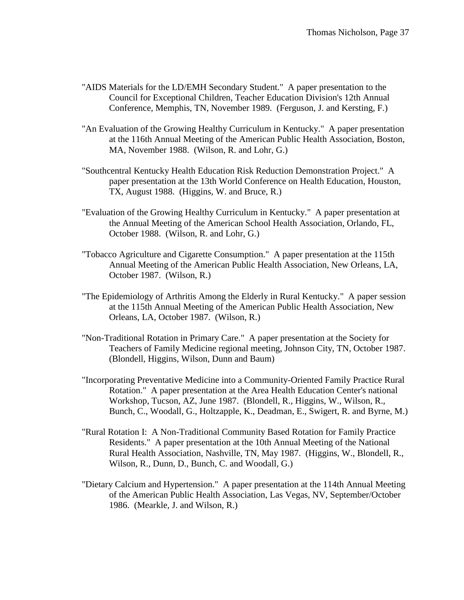- "AIDS Materials for the LD/EMH Secondary Student." A paper presentation to the Council for Exceptional Children, Teacher Education Division's 12th Annual Conference, Memphis, TN, November 1989. (Ferguson, J. and Kersting, F.)
- "An Evaluation of the Growing Healthy Curriculum in Kentucky." A paper presentation at the 116th Annual Meeting of the American Public Health Association, Boston, MA, November 1988. (Wilson, R. and Lohr, G.)
- "Southcentral Kentucky Health Education Risk Reduction Demonstration Project." A paper presentation at the 13th World Conference on Health Education, Houston, TX, August 1988. (Higgins, W. and Bruce, R.)
- "Evaluation of the Growing Healthy Curriculum in Kentucky." A paper presentation at the Annual Meeting of the American School Health Association, Orlando, FL, October 1988. (Wilson, R. and Lohr, G.)
- "Tobacco Agriculture and Cigarette Consumption." A paper presentation at the 115th Annual Meeting of the American Public Health Association, New Orleans, LA, October 1987. (Wilson, R.)
- "The Epidemiology of Arthritis Among the Elderly in Rural Kentucky." A paper session at the 115th Annual Meeting of the American Public Health Association, New Orleans, LA, October 1987. (Wilson, R.)
- "Non-Traditional Rotation in Primary Care." A paper presentation at the Society for Teachers of Family Medicine regional meeting, Johnson City, TN, October 1987. (Blondell, Higgins, Wilson, Dunn and Baum)
- "Incorporating Preventative Medicine into a Community-Oriented Family Practice Rural Rotation." A paper presentation at the Area Health Education Center's national Workshop, Tucson, AZ, June 1987. (Blondell, R., Higgins, W., Wilson, R., Bunch, C., Woodall, G., Holtzapple, K., Deadman, E., Swigert, R. and Byrne, M.)
- "Rural Rotation I: A Non-Traditional Community Based Rotation for Family Practice Residents." A paper presentation at the 10th Annual Meeting of the National Rural Health Association, Nashville, TN, May 1987. (Higgins, W., Blondell, R., Wilson, R., Dunn, D., Bunch, C. and Woodall, G.)
- "Dietary Calcium and Hypertension." A paper presentation at the 114th Annual Meeting of the American Public Health Association, Las Vegas, NV, September/October 1986. (Mearkle, J. and Wilson, R.)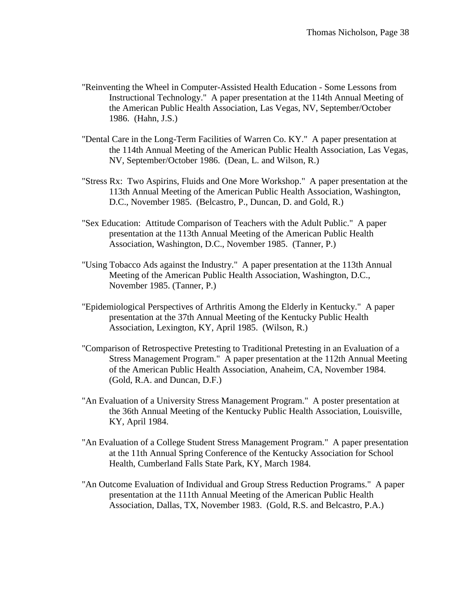- "Reinventing the Wheel in Computer-Assisted Health Education Some Lessons from Instructional Technology." A paper presentation at the 114th Annual Meeting of the American Public Health Association, Las Vegas, NV, September/October 1986. (Hahn, J.S.)
- "Dental Care in the Long-Term Facilities of Warren Co. KY." A paper presentation at the 114th Annual Meeting of the American Public Health Association, Las Vegas, NV, September/October 1986. (Dean, L. and Wilson, R.)
- "Stress Rx: Two Aspirins, Fluids and One More Workshop." A paper presentation at the 113th Annual Meeting of the American Public Health Association, Washington, D.C., November 1985. (Belcastro, P., Duncan, D. and Gold, R.)
- "Sex Education: Attitude Comparison of Teachers with the Adult Public." A paper presentation at the 113th Annual Meeting of the American Public Health Association, Washington, D.C., November 1985. (Tanner, P.)
- "Using Tobacco Ads against the Industry." A paper presentation at the 113th Annual Meeting of the American Public Health Association, Washington, D.C., November 1985. (Tanner, P.)
- "Epidemiological Perspectives of Arthritis Among the Elderly in Kentucky." A paper presentation at the 37th Annual Meeting of the Kentucky Public Health Association, Lexington, KY, April 1985. (Wilson, R.)
- "Comparison of Retrospective Pretesting to Traditional Pretesting in an Evaluation of a Stress Management Program." A paper presentation at the 112th Annual Meeting of the American Public Health Association, Anaheim, CA, November 1984. (Gold, R.A. and Duncan, D.F.)
- "An Evaluation of a University Stress Management Program." A poster presentation at the 36th Annual Meeting of the Kentucky Public Health Association, Louisville, KY, April 1984.
- "An Evaluation of a College Student Stress Management Program." A paper presentation at the 11th Annual Spring Conference of the Kentucky Association for School Health, Cumberland Falls State Park, KY, March 1984.
- "An Outcome Evaluation of Individual and Group Stress Reduction Programs." A paper presentation at the 111th Annual Meeting of the American Public Health Association, Dallas, TX, November 1983. (Gold, R.S. and Belcastro, P.A.)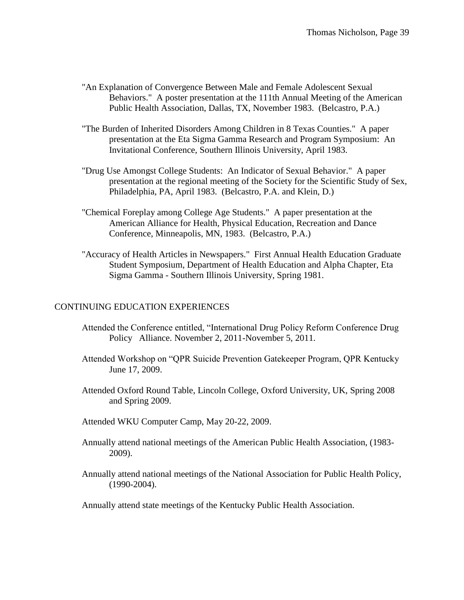- "An Explanation of Convergence Between Male and Female Adolescent Sexual Behaviors." A poster presentation at the 111th Annual Meeting of the American Public Health Association, Dallas, TX, November 1983. (Belcastro, P.A.)
- "The Burden of Inherited Disorders Among Children in 8 Texas Counties." A paper presentation at the Eta Sigma Gamma Research and Program Symposium: An Invitational Conference, Southern Illinois University, April 1983.
- "Drug Use Amongst College Students: An Indicator of Sexual Behavior." A paper presentation at the regional meeting of the Society for the Scientific Study of Sex, Philadelphia, PA, April 1983. (Belcastro, P.A. and Klein, D.)
- "Chemical Foreplay among College Age Students." A paper presentation at the American Alliance for Health, Physical Education, Recreation and Dance Conference, Minneapolis, MN, 1983. (Belcastro, P.A.)
- "Accuracy of Health Articles in Newspapers." First Annual Health Education Graduate Student Symposium, Department of Health Education and Alpha Chapter, Eta Sigma Gamma - Southern Illinois University, Spring 1981.

# CONTINUING EDUCATION EXPERIENCES

- Attended the Conference entitled, "International Drug Policy Reform Conference Drug Policy Alliance. November 2, 2011-November 5, 2011.
- Attended Workshop on "QPR Suicide Prevention Gatekeeper Program, QPR Kentucky June 17, 2009.
- Attended Oxford Round Table, Lincoln College, Oxford University, UK, Spring 2008 and Spring 2009.
- Attended WKU Computer Camp, May 20-22, 2009.
- Annually attend national meetings of the American Public Health Association, (1983- 2009).
- Annually attend national meetings of the National Association for Public Health Policy, (1990-2004).

Annually attend state meetings of the Kentucky Public Health Association.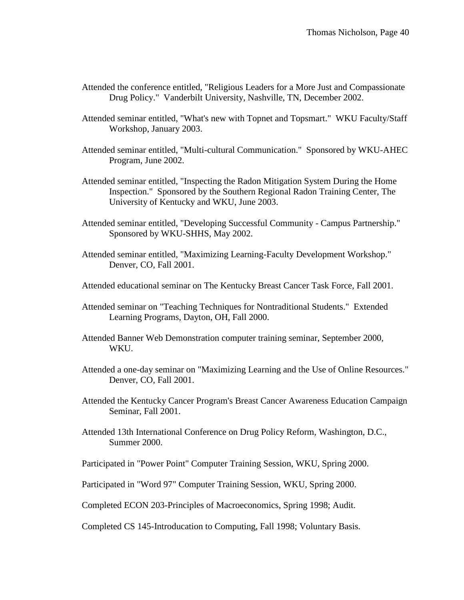- Attended the conference entitled, "Religious Leaders for a More Just and Compassionate Drug Policy." Vanderbilt University, Nashville, TN, December 2002.
- Attended seminar entitled, "What's new with Topnet and Topsmart." WKU Faculty/Staff Workshop, January 2003.
- Attended seminar entitled, "Multi-cultural Communication." Sponsored by WKU-AHEC Program, June 2002.
- Attended seminar entitled, "Inspecting the Radon Mitigation System During the Home Inspection." Sponsored by the Southern Regional Radon Training Center, The University of Kentucky and WKU, June 2003.
- Attended seminar entitled, "Developing Successful Community Campus Partnership." Sponsored by WKU-SHHS, May 2002.
- Attended seminar entitled, "Maximizing Learning-Faculty Development Workshop." Denver, CO, Fall 2001.
- Attended educational seminar on The Kentucky Breast Cancer Task Force, Fall 2001.
- Attended seminar on "Teaching Techniques for Nontraditional Students." Extended Learning Programs, Dayton, OH, Fall 2000.
- Attended Banner Web Demonstration computer training seminar, September 2000, WKU.
- Attended a one-day seminar on "Maximizing Learning and the Use of Online Resources." Denver, CO, Fall 2001.
- Attended the Kentucky Cancer Program's Breast Cancer Awareness Education Campaign Seminar, Fall 2001.
- Attended 13th International Conference on Drug Policy Reform, Washington, D.C., Summer 2000.
- Participated in "Power Point" Computer Training Session, WKU, Spring 2000.
- Participated in "Word 97" Computer Training Session, WKU, Spring 2000.
- Completed ECON 203-Principles of Macroeconomics, Spring 1998; Audit.
- Completed CS 145-Introducation to Computing, Fall 1998; Voluntary Basis.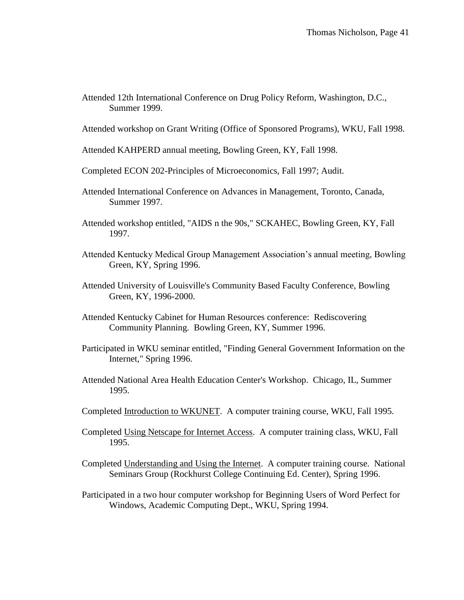Attended 12th International Conference on Drug Policy Reform, Washington, D.C., Summer 1999.

Attended workshop on Grant Writing (Office of Sponsored Programs), WKU, Fall 1998.

- Attended KAHPERD annual meeting, Bowling Green, KY, Fall 1998.
- Completed ECON 202-Principles of Microeconomics, Fall 1997; Audit.
- Attended International Conference on Advances in Management, Toronto, Canada, Summer 1997.
- Attended workshop entitled, "AIDS n the 90s," SCKAHEC, Bowling Green, KY, Fall 1997.
- Attended Kentucky Medical Group Management Association's annual meeting, Bowling Green, KY, Spring 1996.
- Attended University of Louisville's Community Based Faculty Conference, Bowling Green, KY, 1996-2000.
- Attended Kentucky Cabinet for Human Resources conference: Rediscovering Community Planning. Bowling Green, KY, Summer 1996.
- Participated in WKU seminar entitled, "Finding General Government Information on the Internet," Spring 1996.
- Attended National Area Health Education Center's Workshop. Chicago, IL, Summer 1995.
- Completed Introduction to WKUNET. A computer training course, WKU, Fall 1995.
- Completed Using Netscape for Internet Access. A computer training class, WKU, Fall 1995.
- Completed Understanding and Using the Internet. A computer training course. National Seminars Group (Rockhurst College Continuing Ed. Center), Spring 1996.
- Participated in a two hour computer workshop for Beginning Users of Word Perfect for Windows, Academic Computing Dept., WKU, Spring 1994.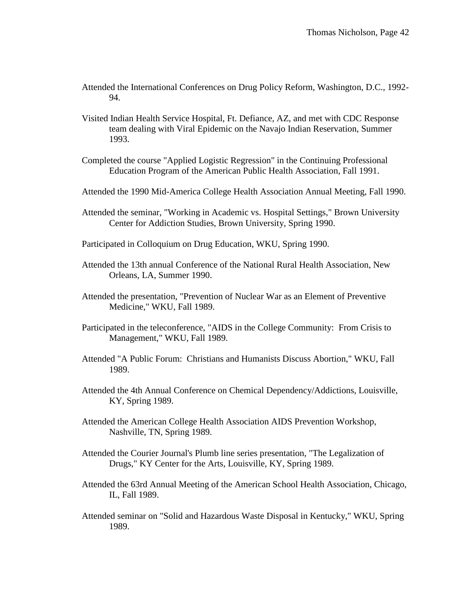- Attended the International Conferences on Drug Policy Reform, Washington, D.C., 1992- 94.
- Visited Indian Health Service Hospital, Ft. Defiance, AZ, and met with CDC Response team dealing with Viral Epidemic on the Navajo Indian Reservation, Summer 1993.
- Completed the course "Applied Logistic Regression" in the Continuing Professional Education Program of the American Public Health Association, Fall 1991.
- Attended the 1990 Mid-America College Health Association Annual Meeting, Fall 1990.
- Attended the seminar, "Working in Academic vs. Hospital Settings," Brown University Center for Addiction Studies, Brown University, Spring 1990.
- Participated in Colloquium on Drug Education, WKU, Spring 1990.
- Attended the 13th annual Conference of the National Rural Health Association, New Orleans, LA, Summer 1990.
- Attended the presentation, "Prevention of Nuclear War as an Element of Preventive Medicine," WKU, Fall 1989.
- Participated in the teleconference, "AIDS in the College Community: From Crisis to Management," WKU, Fall 1989.
- Attended "A Public Forum: Christians and Humanists Discuss Abortion," WKU, Fall 1989.
- Attended the 4th Annual Conference on Chemical Dependency/Addictions, Louisville, KY, Spring 1989.
- Attended the American College Health Association AIDS Prevention Workshop, Nashville, TN, Spring 1989.
- Attended the Courier Journal's Plumb line series presentation, "The Legalization of Drugs," KY Center for the Arts, Louisville, KY, Spring 1989.
- Attended the 63rd Annual Meeting of the American School Health Association, Chicago, IL, Fall 1989.
- Attended seminar on "Solid and Hazardous Waste Disposal in Kentucky," WKU, Spring 1989.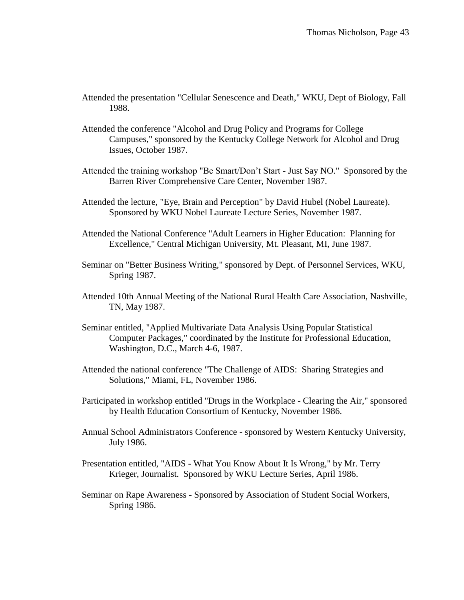- Attended the presentation "Cellular Senescence and Death," WKU, Dept of Biology, Fall 1988.
- Attended the conference "Alcohol and Drug Policy and Programs for College Campuses," sponsored by the Kentucky College Network for Alcohol and Drug Issues, October 1987.
- Attended the training workshop "Be Smart/Don't Start Just Say NO." Sponsored by the Barren River Comprehensive Care Center, November 1987.
- Attended the lecture, "Eye, Brain and Perception" by David Hubel (Nobel Laureate). Sponsored by WKU Nobel Laureate Lecture Series, November 1987.
- Attended the National Conference "Adult Learners in Higher Education: Planning for Excellence," Central Michigan University, Mt. Pleasant, MI, June 1987.
- Seminar on "Better Business Writing," sponsored by Dept. of Personnel Services, WKU, Spring 1987.
- Attended 10th Annual Meeting of the National Rural Health Care Association, Nashville, TN, May 1987.
- Seminar entitled, "Applied Multivariate Data Analysis Using Popular Statistical Computer Packages," coordinated by the Institute for Professional Education, Washington, D.C., March 4-6, 1987.
- Attended the national conference "The Challenge of AIDS: Sharing Strategies and Solutions," Miami, FL, November 1986.
- Participated in workshop entitled "Drugs in the Workplace Clearing the Air," sponsored by Health Education Consortium of Kentucky, November 1986.
- Annual School Administrators Conference sponsored by Western Kentucky University, July 1986.
- Presentation entitled, "AIDS What You Know About It Is Wrong," by Mr. Terry Krieger, Journalist. Sponsored by WKU Lecture Series, April 1986.
- Seminar on Rape Awareness Sponsored by Association of Student Social Workers, Spring 1986.